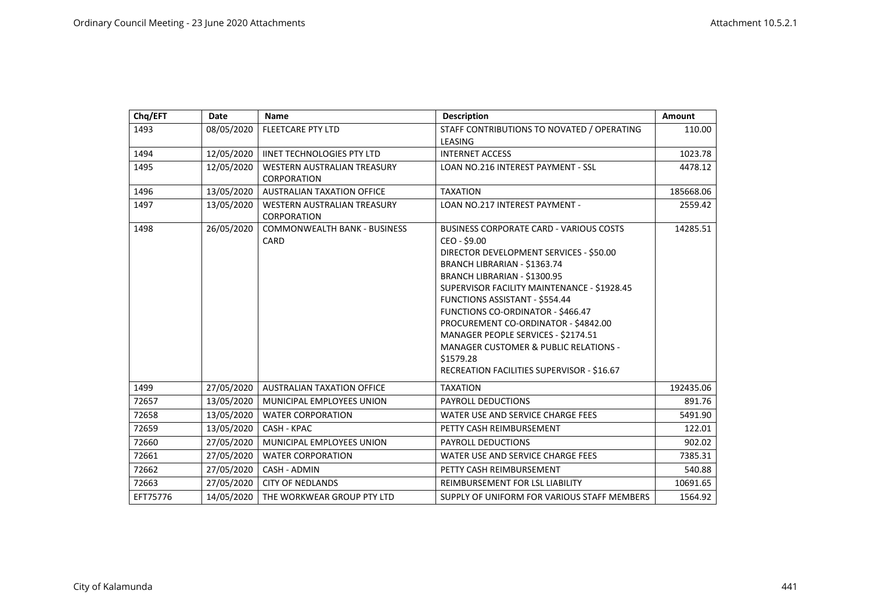| Chq/EFT  | <b>Date</b> | <b>Name</b>                                       | <b>Description</b>                                                                                                                                                                                                                                                                                                                                                                                                                                            | Amount    |
|----------|-------------|---------------------------------------------------|---------------------------------------------------------------------------------------------------------------------------------------------------------------------------------------------------------------------------------------------------------------------------------------------------------------------------------------------------------------------------------------------------------------------------------------------------------------|-----------|
| 1493     | 08/05/2020  | <b>FLEETCARE PTY LTD</b>                          | STAFF CONTRIBUTIONS TO NOVATED / OPERATING<br>LEASING                                                                                                                                                                                                                                                                                                                                                                                                         | 110.00    |
| 1494     | 12/05/2020  | <b>IINET TECHNOLOGIES PTY LTD</b>                 | <b>INTERNET ACCESS</b>                                                                                                                                                                                                                                                                                                                                                                                                                                        | 1023.78   |
| 1495     | 12/05/2020  | WESTERN AUSTRALIAN TREASURY<br><b>CORPORATION</b> | <b>LOAN NO.216 INTEREST PAYMENT - SSL</b>                                                                                                                                                                                                                                                                                                                                                                                                                     | 4478.12   |
| 1496     | 13/05/2020  | <b>AUSTRALIAN TAXATION OFFICE</b>                 | <b>TAXATION</b>                                                                                                                                                                                                                                                                                                                                                                                                                                               | 185668.06 |
| 1497     | 13/05/2020  | WESTERN AUSTRALIAN TREASURY<br>CORPORATION        | <b>LOAN NO.217 INTEREST PAYMENT -</b>                                                                                                                                                                                                                                                                                                                                                                                                                         | 2559.42   |
| 1498     | 26/05/2020  | <b>COMMONWEALTH BANK - BUSINESS</b><br>CARD       | <b>BUSINESS CORPORATE CARD - VARIOUS COSTS</b><br>CEO - \$9.00<br>DIRECTOR DEVELOPMENT SERVICES - \$50.00<br>BRANCH LIBRARIAN - \$1363.74<br><b>BRANCH LIBRARIAN - \$1300.95</b><br>SUPERVISOR FACILITY MAINTENANCE - \$1928.45<br>FUNCTIONS ASSISTANT - \$554.44<br><b>FUNCTIONS CO-ORDINATOR - \$466.47</b><br>PROCUREMENT CO-ORDINATOR - \$4842.00<br>MANAGER PEOPLE SERVICES - \$2174.51<br><b>MANAGER CUSTOMER &amp; PUBLIC RELATIONS -</b><br>\$1579.28 | 14285.51  |
|          |             |                                                   | RECREATION FACILITIES SUPERVISOR - \$16.67                                                                                                                                                                                                                                                                                                                                                                                                                    |           |
| 1499     | 27/05/2020  | <b>AUSTRALIAN TAXATION OFFICE</b>                 | <b>TAXATION</b>                                                                                                                                                                                                                                                                                                                                                                                                                                               | 192435.06 |
| 72657    | 13/05/2020  | MUNICIPAL EMPLOYEES UNION                         | <b>PAYROLL DEDUCTIONS</b>                                                                                                                                                                                                                                                                                                                                                                                                                                     | 891.76    |
| 72658    | 13/05/2020  | <b>WATER CORPORATION</b>                          | WATER USE AND SERVICE CHARGE FEES                                                                                                                                                                                                                                                                                                                                                                                                                             | 5491.90   |
| 72659    | 13/05/2020  | CASH - KPAC                                       | PETTY CASH REIMBURSEMENT                                                                                                                                                                                                                                                                                                                                                                                                                                      | 122.01    |
| 72660    | 27/05/2020  | MUNICIPAL EMPLOYEES UNION                         | <b>PAYROLL DEDUCTIONS</b>                                                                                                                                                                                                                                                                                                                                                                                                                                     | 902.02    |
| 72661    | 27/05/2020  | <b>WATER CORPORATION</b>                          | WATER USE AND SERVICE CHARGE FEES                                                                                                                                                                                                                                                                                                                                                                                                                             | 7385.31   |
| 72662    | 27/05/2020  | CASH - ADMIN                                      | PETTY CASH REIMBURSEMENT                                                                                                                                                                                                                                                                                                                                                                                                                                      | 540.88    |
| 72663    | 27/05/2020  | <b>CITY OF NEDLANDS</b>                           | REIMBURSEMENT FOR LSL LIABILITY                                                                                                                                                                                                                                                                                                                                                                                                                               | 10691.65  |
| EFT75776 | 14/05/2020  | THE WORKWEAR GROUP PTY LTD                        | SUPPLY OF UNIFORM FOR VARIOUS STAFF MEMBERS                                                                                                                                                                                                                                                                                                                                                                                                                   | 1564.92   |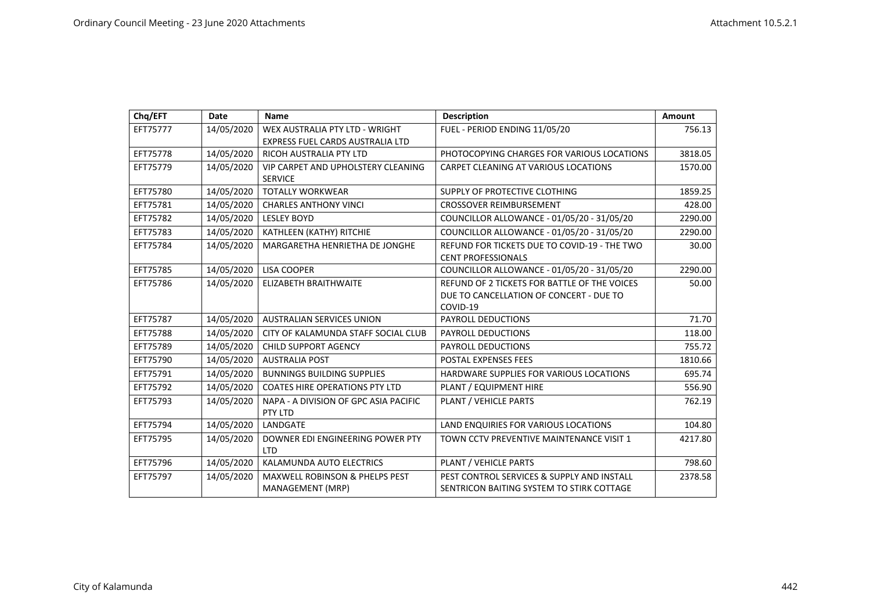| Chq/EFT  | <b>Date</b> | <b>Name</b>                                          | <b>Description</b>                                                                                  | <b>Amount</b> |
|----------|-------------|------------------------------------------------------|-----------------------------------------------------------------------------------------------------|---------------|
| EFT75777 | 14/05/2020  | WEX AUSTRALIA PTY LTD - WRIGHT                       | FUEL - PERIOD ENDING 11/05/20                                                                       | 756.13        |
|          |             | EXPRESS FUEL CARDS AUSTRALIA LTD                     |                                                                                                     |               |
| EFT75778 | 14/05/2020  | RICOH AUSTRALIA PTY LTD                              | PHOTOCOPYING CHARGES FOR VARIOUS LOCATIONS                                                          | 3818.05       |
| EFT75779 | 14/05/2020  | VIP CARPET AND UPHOLSTERY CLEANING<br><b>SERVICE</b> | CARPET CLEANING AT VARIOUS LOCATIONS                                                                | 1570.00       |
| EFT75780 | 14/05/2020  | <b>TOTALLY WORKWEAR</b>                              | SUPPLY OF PROTECTIVE CLOTHING                                                                       | 1859.25       |
| EFT75781 | 14/05/2020  | <b>CHARLES ANTHONY VINCI</b>                         | CROSSOVER REIMBURSEMENT                                                                             | 428.00        |
| EFT75782 | 14/05/2020  | <b>LESLEY BOYD</b>                                   | COUNCILLOR ALLOWANCE - 01/05/20 - 31/05/20                                                          | 2290.00       |
| EFT75783 | 14/05/2020  | KATHLEEN (KATHY) RITCHIE                             | COUNCILLOR ALLOWANCE - 01/05/20 - 31/05/20                                                          | 2290.00       |
| EFT75784 | 14/05/2020  | MARGARETHA HENRIETHA DE JONGHE                       | REFUND FOR TICKETS DUE TO COVID-19 - THE TWO<br><b>CENT PROFESSIONALS</b>                           | 30.00         |
| EFT75785 | 14/05/2020  | <b>LISA COOPER</b>                                   | COUNCILLOR ALLOWANCE - 01/05/20 - 31/05/20                                                          | 2290.00       |
| EFT75786 | 14/05/2020  | <b>ELIZABETH BRAITHWAITE</b>                         | REFUND OF 2 TICKETS FOR BATTLE OF THE VOICES<br>DUE TO CANCELLATION OF CONCERT - DUE TO<br>COVID-19 | 50.00         |
| EFT75787 | 14/05/2020  | <b>AUSTRALIAN SERVICES UNION</b>                     | PAYROLL DEDUCTIONS                                                                                  | 71.70         |
| EFT75788 | 14/05/2020  | CITY OF KALAMUNDA STAFF SOCIAL CLUB                  | <b>PAYROLL DEDUCTIONS</b>                                                                           | 118.00        |
| EFT75789 | 14/05/2020  | <b>CHILD SUPPORT AGENCY</b>                          | <b>PAYROLL DEDUCTIONS</b>                                                                           | 755.72        |
| EFT75790 | 14/05/2020  | <b>AUSTRALIA POST</b>                                | <b>POSTAL EXPENSES FEES</b>                                                                         | 1810.66       |
| EFT75791 | 14/05/2020  | <b>BUNNINGS BUILDING SUPPLIES</b>                    | HARDWARE SUPPLIES FOR VARIOUS LOCATIONS                                                             | 695.74        |
| EFT75792 | 14/05/2020  | <b>COATES HIRE OPERATIONS PTY LTD</b>                | PLANT / EQUIPMENT HIRE                                                                              | 556.90        |
| EFT75793 | 14/05/2020  | NAPA - A DIVISION OF GPC ASIA PACIFIC<br>PTY LTD     | PLANT / VEHICLE PARTS                                                                               | 762.19        |
| EFT75794 | 14/05/2020  | LANDGATE                                             | LAND ENQUIRIES FOR VARIOUS LOCATIONS                                                                | 104.80        |
| EFT75795 | 14/05/2020  | DOWNER EDI ENGINEERING POWER PTY<br><b>LTD</b>       | TOWN CCTV PREVENTIVE MAINTENANCE VISIT 1                                                            | 4217.80       |
| EFT75796 | 14/05/2020  | KALAMUNDA AUTO ELECTRICS                             | PLANT / VEHICLE PARTS                                                                               | 798.60        |
| EFT75797 | 14/05/2020  | <b>MAXWELL ROBINSON &amp; PHELPS PEST</b>            | PEST CONTROL SERVICES & SUPPLY AND INSTALL                                                          | 2378.58       |
|          |             | MANAGEMENT (MRP)                                     | SENTRICON BAITING SYSTEM TO STIRK COTTAGE                                                           |               |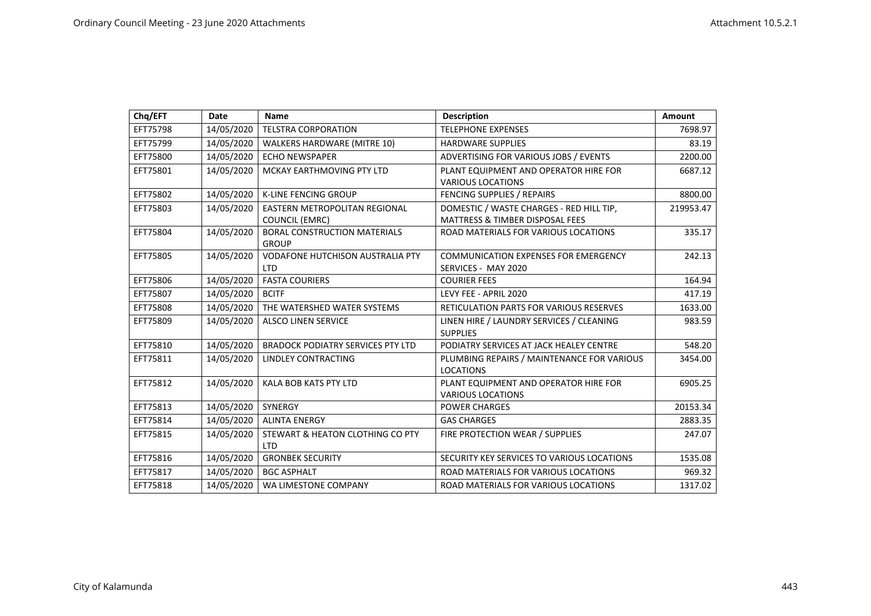| Chq/EFT  | Date       | Name                                                          | <b>Description</b>                                                          | <b>Amount</b> |
|----------|------------|---------------------------------------------------------------|-----------------------------------------------------------------------------|---------------|
| EFT75798 | 14/05/2020 | <b>TELSTRA CORPORATION</b>                                    | <b>TELEPHONE EXPENSES</b>                                                   | 7698.97       |
| EFT75799 | 14/05/2020 | <b>WALKERS HARDWARE (MITRE 10)</b>                            | <b>HARDWARE SUPPLIES</b>                                                    | 83.19         |
| EFT75800 | 14/05/2020 | <b>ECHO NEWSPAPER</b>                                         | ADVERTISING FOR VARIOUS JOBS / EVENTS                                       | 2200.00       |
| EFT75801 | 14/05/2020 | MCKAY EARTHMOVING PTY LTD                                     | PLANT EQUIPMENT AND OPERATOR HIRE FOR<br><b>VARIOUS LOCATIONS</b>           | 6687.12       |
| EFT75802 | 14/05/2020 | <b>K-LINE FENCING GROUP</b>                                   | <b>FENCING SUPPLIES / REPAIRS</b>                                           | 8800.00       |
| EFT75803 | 14/05/2020 | <b>EASTERN METROPOLITAN REGIONAL</b><br><b>COUNCIL (EMRC)</b> | DOMESTIC / WASTE CHARGES - RED HILL TIP,<br>MATTRESS & TIMBER DISPOSAL FEES | 219953.47     |
| EFT75804 | 14/05/2020 | <b>BORAL CONSTRUCTION MATERIALS</b><br><b>GROUP</b>           | ROAD MATERIALS FOR VARIOUS LOCATIONS                                        | 335.17        |
| EFT75805 | 14/05/2020 | <b>VODAFONE HUTCHISON AUSTRALIA PTY</b><br><b>LTD</b>         | <b>COMMUNICATION EXPENSES FOR EMERGENCY</b><br>SERVICES - MAY 2020          | 242.13        |
| EFT75806 | 14/05/2020 | <b>FASTA COURIERS</b>                                         | <b>COURIER FEES</b>                                                         | 164.94        |
| EFT75807 | 14/05/2020 | <b>BCITF</b>                                                  | LEVY FEE - APRIL 2020                                                       | 417.19        |
| EFT75808 | 14/05/2020 | THE WATERSHED WATER SYSTEMS                                   | RETICULATION PARTS FOR VARIOUS RESERVES                                     | 1633.00       |
| EFT75809 | 14/05/2020 | <b>ALSCO LINEN SERVICE</b>                                    | LINEN HIRE / LAUNDRY SERVICES / CLEANING<br><b>SUPPLIES</b>                 | 983.59        |
| EFT75810 | 14/05/2020 | <b>BRADOCK PODIATRY SERVICES PTY LTD</b>                      | PODIATRY SERVICES AT JACK HEALEY CENTRE                                     | 548.20        |
| EFT75811 | 14/05/2020 | LINDLEY CONTRACTING                                           | PLUMBING REPAIRS / MAINTENANCE FOR VARIOUS<br><b>LOCATIONS</b>              | 3454.00       |
| EFT75812 | 14/05/2020 | <b>KALA BOB KATS PTY LTD</b>                                  | PLANT EQUIPMENT AND OPERATOR HIRE FOR<br><b>VARIOUS LOCATIONS</b>           | 6905.25       |
| EFT75813 | 14/05/2020 | SYNERGY                                                       | <b>POWER CHARGES</b>                                                        | 20153.34      |
| EFT75814 | 14/05/2020 | <b>ALINTA ENERGY</b>                                          | <b>GAS CHARGES</b>                                                          | 2883.35       |
| EFT75815 | 14/05/2020 | STEWART & HEATON CLOTHING CO PTY<br><b>LTD</b>                | FIRE PROTECTION WEAR / SUPPLIES                                             | 247.07        |
| EFT75816 | 14/05/2020 | <b>GRONBEK SECURITY</b>                                       | SECURITY KEY SERVICES TO VARIOUS LOCATIONS                                  | 1535.08       |
| EFT75817 | 14/05/2020 | <b>BGC ASPHALT</b>                                            | ROAD MATERIALS FOR VARIOUS LOCATIONS                                        | 969.32        |
| EFT75818 | 14/05/2020 | WA LIMESTONE COMPANY                                          | ROAD MATERIALS FOR VARIOUS LOCATIONS                                        | 1317.02       |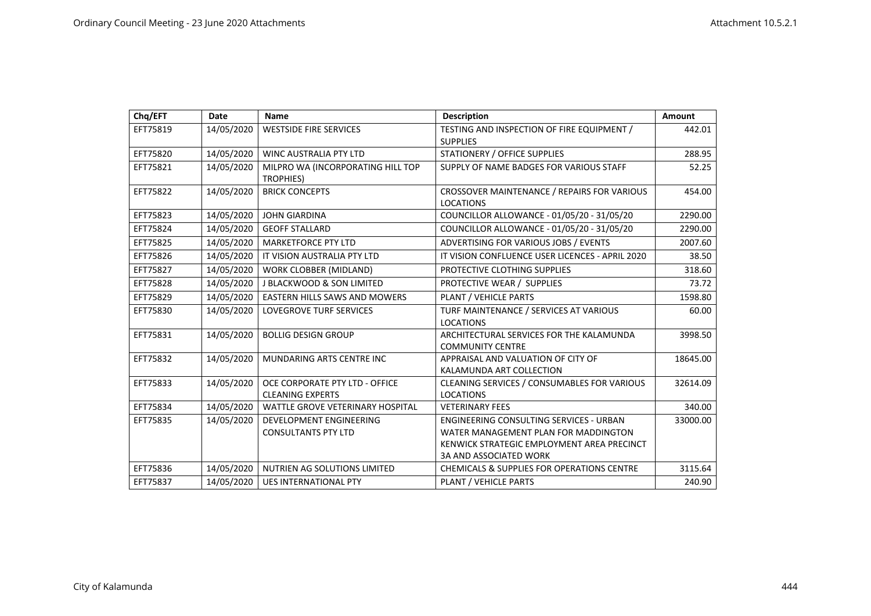| Chq/EFT  | <b>Date</b> | <b>Name</b>                                                  | <b>Description</b>                                                                                                                                                    | <b>Amount</b> |
|----------|-------------|--------------------------------------------------------------|-----------------------------------------------------------------------------------------------------------------------------------------------------------------------|---------------|
| EFT75819 | 14/05/2020  | <b>WESTSIDE FIRE SERVICES</b>                                | TESTING AND INSPECTION OF FIRE EQUIPMENT /<br><b>SUPPLIES</b>                                                                                                         | 442.01        |
| EFT75820 | 14/05/2020  | WINC AUSTRALIA PTY LTD                                       | STATIONERY / OFFICE SUPPLIES                                                                                                                                          | 288.95        |
| EFT75821 | 14/05/2020  | MILPRO WA (INCORPORATING HILL TOP<br>TROPHIES)               | SUPPLY OF NAME BADGES FOR VARIOUS STAFF                                                                                                                               | 52.25         |
| EFT75822 | 14/05/2020  | <b>BRICK CONCEPTS</b>                                        | CROSSOVER MAINTENANCE / REPAIRS FOR VARIOUS<br><b>LOCATIONS</b>                                                                                                       | 454.00        |
| EFT75823 | 14/05/2020  | <b>JOHN GIARDINA</b>                                         | COUNCILLOR ALLOWANCE - 01/05/20 - 31/05/20                                                                                                                            | 2290.00       |
| EFT75824 | 14/05/2020  | <b>GEOFF STALLARD</b>                                        | COUNCILLOR ALLOWANCE - 01/05/20 - 31/05/20                                                                                                                            | 2290.00       |
| EFT75825 | 14/05/2020  | <b>MARKETFORCE PTY LTD</b>                                   | ADVERTISING FOR VARIOUS JOBS / EVENTS                                                                                                                                 | 2007.60       |
| EFT75826 | 14/05/2020  | IT VISION AUSTRALIA PTY LTD                                  | IT VISION CONFLUENCE USER LICENCES - APRIL 2020                                                                                                                       | 38.50         |
| EFT75827 | 14/05/2020  | WORK CLOBBER (MIDLAND)                                       | PROTECTIVE CLOTHING SUPPLIES                                                                                                                                          | 318.60        |
| EFT75828 | 14/05/2020  | J BLACKWOOD & SON LIMITED                                    | PROTECTIVE WEAR / SUPPLIES                                                                                                                                            | 73.72         |
| EFT75829 | 14/05/2020  | <b>EASTERN HILLS SAWS AND MOWERS</b>                         | PLANT / VEHICLE PARTS                                                                                                                                                 | 1598.80       |
| EFT75830 | 14/05/2020  | LOVEGROVE TURF SERVICES                                      | TURF MAINTENANCE / SERVICES AT VARIOUS<br><b>LOCATIONS</b>                                                                                                            | 60.00         |
| EFT75831 | 14/05/2020  | <b>BOLLIG DESIGN GROUP</b>                                   | ARCHITECTURAL SERVICES FOR THE KALAMUNDA<br><b>COMMUNITY CENTRE</b>                                                                                                   | 3998.50       |
| EFT75832 | 14/05/2020  | MUNDARING ARTS CENTRE INC                                    | APPRAISAL AND VALUATION OF CITY OF<br>KALAMUNDA ART COLLECTION                                                                                                        | 18645.00      |
| EFT75833 | 14/05/2020  | OCE CORPORATE PTY LTD - OFFICE<br><b>CLEANING EXPERTS</b>    | CLEANING SERVICES / CONSUMABLES FOR VARIOUS<br><b>LOCATIONS</b>                                                                                                       | 32614.09      |
| EFT75834 | 14/05/2020  | <b>WATTLE GROVE VETERINARY HOSPITAL</b>                      | <b>VETERINARY FEES</b>                                                                                                                                                | 340.00        |
| EFT75835 | 14/05/2020  | <b>DEVELOPMENT ENGINEERING</b><br><b>CONSULTANTS PTY LTD</b> | <b>ENGINEERING CONSULTING SERVICES - URBAN</b><br>WATER MANAGEMENT PLAN FOR MADDINGTON<br>KENWICK STRATEGIC EMPLOYMENT AREA PRECINCT<br><b>3A AND ASSOCIATED WORK</b> | 33000.00      |
| EFT75836 | 14/05/2020  | NUTRIEN AG SOLUTIONS LIMITED                                 | <b>CHEMICALS &amp; SUPPLIES FOR OPERATIONS CENTRE</b>                                                                                                                 | 3115.64       |
| EFT75837 | 14/05/2020  | <b>UES INTERNATIONAL PTY</b>                                 | PLANT / VEHICLE PARTS                                                                                                                                                 | 240.90        |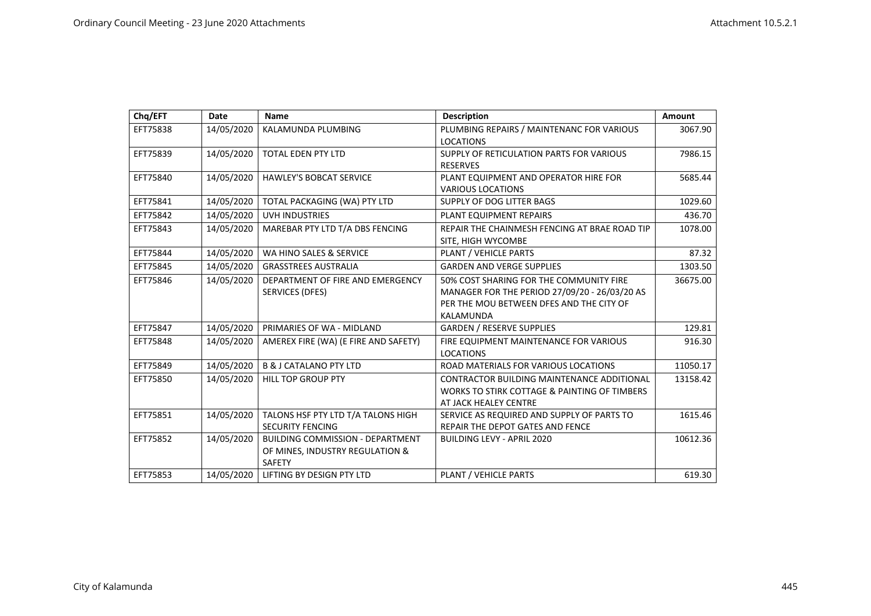| Chq/EFT  | Date       | <b>Name</b>                             | <b>Description</b>                            | Amount   |
|----------|------------|-----------------------------------------|-----------------------------------------------|----------|
| EFT75838 | 14/05/2020 | KALAMUNDA PLUMBING                      | PLUMBING REPAIRS / MAINTENANC FOR VARIOUS     | 3067.90  |
|          |            |                                         | <b>LOCATIONS</b>                              |          |
| EFT75839 | 14/05/2020 | <b>TOTAL EDEN PTY LTD</b>               | SUPPLY OF RETICULATION PARTS FOR VARIOUS      | 7986.15  |
|          |            |                                         | <b>RESERVES</b>                               |          |
| EFT75840 | 14/05/2020 | <b>HAWLEY'S BOBCAT SERVICE</b>          | PLANT EQUIPMENT AND OPERATOR HIRE FOR         | 5685.44  |
|          |            |                                         | <b>VARIOUS LOCATIONS</b>                      |          |
| EFT75841 | 14/05/2020 | TOTAL PACKAGING (WA) PTY LTD            | SUPPLY OF DOG LITTER BAGS                     | 1029.60  |
| EFT75842 | 14/05/2020 | <b>UVH INDUSTRIES</b>                   | PLANT EQUIPMENT REPAIRS                       | 436.70   |
| EFT75843 | 14/05/2020 | MAREBAR PTY LTD T/A DBS FENCING         | REPAIR THE CHAINMESH FENCING AT BRAE ROAD TIP | 1078.00  |
|          |            |                                         | SITE, HIGH WYCOMBE                            |          |
| EFT75844 | 14/05/2020 | WA HINO SALES & SERVICE                 | PLANT / VEHICLE PARTS                         | 87.32    |
| EFT75845 | 14/05/2020 | <b>GRASSTREES AUSTRALIA</b>             | <b>GARDEN AND VERGE SUPPLIES</b>              | 1303.50  |
| EFT75846 | 14/05/2020 | DEPARTMENT OF FIRE AND EMERGENCY        | 50% COST SHARING FOR THE COMMUNITY FIRE       | 36675.00 |
|          |            | <b>SERVICES (DFES)</b>                  | MANAGER FOR THE PERIOD 27/09/20 - 26/03/20 AS |          |
|          |            |                                         | PER THE MOU BETWEEN DFES AND THE CITY OF      |          |
|          |            |                                         | KALAMUNDA                                     |          |
| EFT75847 | 14/05/2020 | PRIMARIES OF WA - MIDLAND               | <b>GARDEN / RESERVE SUPPLIES</b>              | 129.81   |
| EFT75848 | 14/05/2020 | AMEREX FIRE (WA) (E FIRE AND SAFETY)    | FIRE EQUIPMENT MAINTENANCE FOR VARIOUS        | 916.30   |
|          |            |                                         | <b>LOCATIONS</b>                              |          |
| EFT75849 | 14/05/2020 | <b>B &amp; J CATALANO PTY LTD</b>       | ROAD MATERIALS FOR VARIOUS LOCATIONS          | 11050.17 |
| EFT75850 | 14/05/2020 | <b>HILL TOP GROUP PTY</b>               | CONTRACTOR BUILDING MAINTENANCE ADDITIONAL    | 13158.42 |
|          |            |                                         | WORKS TO STIRK COTTAGE & PAINTING OF TIMBERS  |          |
|          |            |                                         | AT JACK HEALEY CENTRE                         |          |
| EFT75851 | 14/05/2020 | TALONS HSF PTY LTD T/A TALONS HIGH      | SERVICE AS REQUIRED AND SUPPLY OF PARTS TO    | 1615.46  |
|          |            | <b>SECURITY FENCING</b>                 | <b>REPAIR THE DEPOT GATES AND FENCE</b>       |          |
| EFT75852 | 14/05/2020 | <b>BUILDING COMMISSION - DEPARTMENT</b> | <b>BUILDING LEVY - APRIL 2020</b>             | 10612.36 |
|          |            | OF MINES, INDUSTRY REGULATION &         |                                               |          |
|          |            | <b>SAFETY</b>                           |                                               |          |
| EFT75853 | 14/05/2020 | LIFTING BY DESIGN PTY LTD               | PLANT / VEHICLE PARTS                         | 619.30   |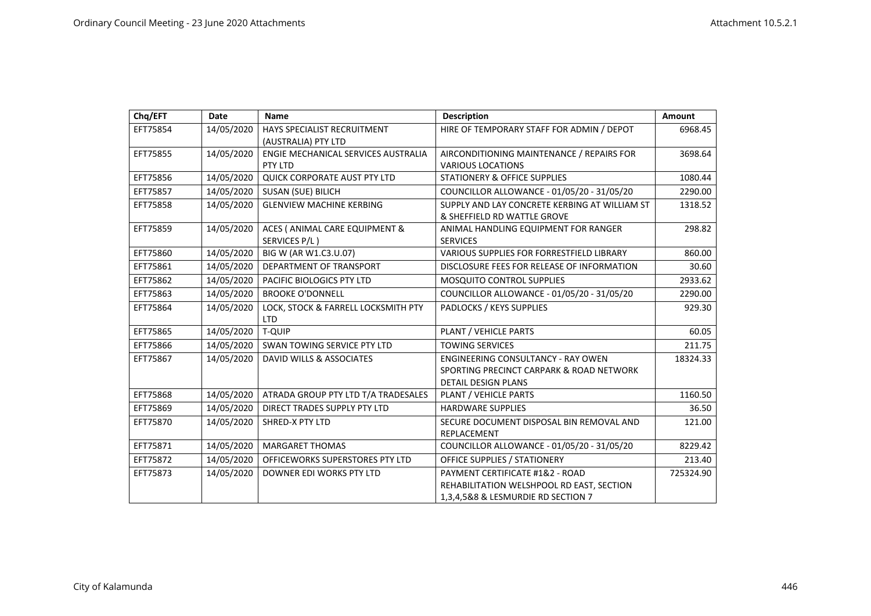| EFT75854<br>14/05/2020<br>HAYS SPECIALIST RECRUITMENT<br>HIRE OF TEMPORARY STAFF FOR ADMIN / DEPOT<br>(AUSTRALIA) PTY LTD<br>14/05/2020<br>EFT75855<br>ENGIE MECHANICAL SERVICES AUSTRALIA<br>AIRCONDITIONING MAINTENANCE / REPAIRS FOR<br>PTY LTD<br><b>VARIOUS LOCATIONS</b><br>14/05/2020<br><b>STATIONERY &amp; OFFICE SUPPLIES</b><br>EFT75856<br><b>QUICK CORPORATE AUST PTY LTD</b><br>14/05/2020<br>EFT75857<br>SUSAN (SUE) BILICH<br>COUNCILLOR ALLOWANCE - 01/05/20 - 31/05/20<br>14/05/2020<br>SUPPLY AND LAY CONCRETE KERBING AT WILLIAM ST<br>EFT75858<br><b>GLENVIEW MACHINE KERBING</b><br>& SHEFFIELD RD WATTLE GROVE<br>14/05/2020<br>ACES ( ANIMAL CARE EQUIPMENT &<br>EFT75859<br>ANIMAL HANDLING EQUIPMENT FOR RANGER<br>SERVICES P/L)<br><b>SERVICES</b> | Amount    |
|-------------------------------------------------------------------------------------------------------------------------------------------------------------------------------------------------------------------------------------------------------------------------------------------------------------------------------------------------------------------------------------------------------------------------------------------------------------------------------------------------------------------------------------------------------------------------------------------------------------------------------------------------------------------------------------------------------------------------------------------------------------------------------|-----------|
|                                                                                                                                                                                                                                                                                                                                                                                                                                                                                                                                                                                                                                                                                                                                                                               | 6968.45   |
|                                                                                                                                                                                                                                                                                                                                                                                                                                                                                                                                                                                                                                                                                                                                                                               | 3698.64   |
|                                                                                                                                                                                                                                                                                                                                                                                                                                                                                                                                                                                                                                                                                                                                                                               |           |
|                                                                                                                                                                                                                                                                                                                                                                                                                                                                                                                                                                                                                                                                                                                                                                               | 1080.44   |
|                                                                                                                                                                                                                                                                                                                                                                                                                                                                                                                                                                                                                                                                                                                                                                               | 2290.00   |
|                                                                                                                                                                                                                                                                                                                                                                                                                                                                                                                                                                                                                                                                                                                                                                               | 1318.52   |
|                                                                                                                                                                                                                                                                                                                                                                                                                                                                                                                                                                                                                                                                                                                                                                               | 298.82    |
| 14/05/2020<br>BIG W (AR W1.C3.U.07)<br>VARIOUS SUPPLIES FOR FORRESTFIELD LIBRARY<br>EFT75860                                                                                                                                                                                                                                                                                                                                                                                                                                                                                                                                                                                                                                                                                  | 860.00    |
| 14/05/2020<br>DEPARTMENT OF TRANSPORT<br>EFT75861<br>DISCLOSURE FEES FOR RELEASE OF INFORMATION                                                                                                                                                                                                                                                                                                                                                                                                                                                                                                                                                                                                                                                                               | 30.60     |
| 14/05/2020<br>PACIFIC BIOLOGICS PTY LTD<br>MOSQUITO CONTROL SUPPLIES<br>EFT75862                                                                                                                                                                                                                                                                                                                                                                                                                                                                                                                                                                                                                                                                                              | 2933.62   |
| 14/05/2020<br><b>BROOKE O'DONNELL</b><br>COUNCILLOR ALLOWANCE - 01/05/20 - 31/05/20<br>EFT75863                                                                                                                                                                                                                                                                                                                                                                                                                                                                                                                                                                                                                                                                               | 2290.00   |
| 14/05/2020<br>LOCK, STOCK & FARRELL LOCKSMITH PTY<br>PADLOCKS / KEYS SUPPLIES<br>EFT75864<br><b>LTD</b>                                                                                                                                                                                                                                                                                                                                                                                                                                                                                                                                                                                                                                                                       | 929.30    |
| 14/05/2020<br>PLANT / VEHICLE PARTS<br>EFT75865<br><b>T-QUIP</b>                                                                                                                                                                                                                                                                                                                                                                                                                                                                                                                                                                                                                                                                                                              | 60.05     |
| 14/05/2020<br>EFT75866<br>SWAN TOWING SERVICE PTY LTD<br><b>TOWING SERVICES</b>                                                                                                                                                                                                                                                                                                                                                                                                                                                                                                                                                                                                                                                                                               | 211.75    |
| 14/05/2020<br>ENGINEERING CONSULTANCY - RAY OWEN<br>EFT75867<br>DAVID WILLS & ASSOCIATES<br>SPORTING PRECINCT CARPARK & ROAD NETWORK<br><b>DETAIL DESIGN PLANS</b>                                                                                                                                                                                                                                                                                                                                                                                                                                                                                                                                                                                                            | 18324.33  |
| ATRADA GROUP PTY LTD T/A TRADESALES<br>EFT75868<br>14/05/2020<br>PLANT / VEHICLE PARTS                                                                                                                                                                                                                                                                                                                                                                                                                                                                                                                                                                                                                                                                                        | 1160.50   |
| 14/05/2020<br>DIRECT TRADES SUPPLY PTY LTD<br>EFT75869<br><b>HARDWARE SUPPLIES</b>                                                                                                                                                                                                                                                                                                                                                                                                                                                                                                                                                                                                                                                                                            | 36.50     |
| 14/05/2020<br>EFT75870<br>SHRED-X PTY LTD<br>SECURE DOCUMENT DISPOSAL BIN REMOVAL AND<br>REPLACEMENT                                                                                                                                                                                                                                                                                                                                                                                                                                                                                                                                                                                                                                                                          | 121.00    |
| EFT75871<br>14/05/2020<br><b>MARGARET THOMAS</b><br>COUNCILLOR ALLOWANCE - 01/05/20 - 31/05/20                                                                                                                                                                                                                                                                                                                                                                                                                                                                                                                                                                                                                                                                                | 8229.42   |
| 14/05/2020<br><b>OFFICE SUPPLIES / STATIONERY</b><br>EFT75872<br>OFFICEWORKS SUPERSTORES PTY LTD                                                                                                                                                                                                                                                                                                                                                                                                                                                                                                                                                                                                                                                                              | 213.40    |
| 14/05/2020<br><b>PAYMENT CERTIFICATE #1&amp;2 - ROAD</b><br>DOWNER EDI WORKS PTY LTD<br>EFT75873<br>REHABILITATION WELSHPOOL RD EAST, SECTION<br>1,3,4,5&8 & LESMURDIE RD SECTION 7                                                                                                                                                                                                                                                                                                                                                                                                                                                                                                                                                                                           | 725324.90 |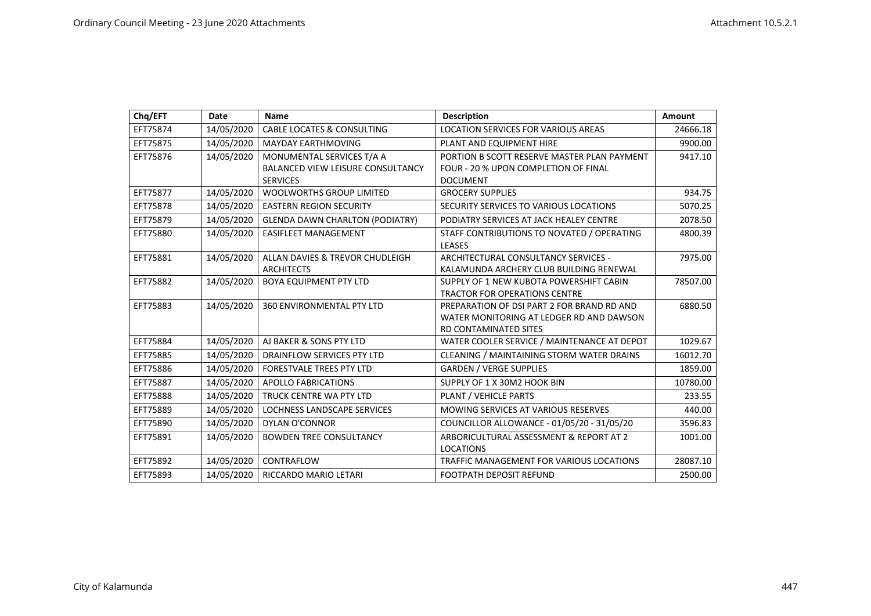| Chq/EFT  | Date       | <b>Name</b>                              | <b>Description</b>                                          | <b>Amount</b> |
|----------|------------|------------------------------------------|-------------------------------------------------------------|---------------|
| EFT75874 | 14/05/2020 | <b>CABLE LOCATES &amp; CONSULTING</b>    | LOCATION SERVICES FOR VARIOUS AREAS                         | 24666.18      |
| EFT75875 | 14/05/2020 | <b>MAYDAY EARTHMOVING</b>                | PLANT AND EQUIPMENT HIRE                                    | 9900.00       |
| EFT75876 | 14/05/2020 | MONUMENTAL SERVICES T/A A                | PORTION B SCOTT RESERVE MASTER PLAN PAYMENT                 | 9417.10       |
|          |            | <b>BALANCED VIEW LEISURE CONSULTANCY</b> | FOUR - 20 % UPON COMPLETION OF FINAL                        |               |
|          |            | <b>SERVICES</b>                          | <b>DOCUMENT</b>                                             |               |
| EFT75877 | 14/05/2020 | <b>WOOLWORTHS GROUP LIMITED</b>          | <b>GROCERY SUPPLIES</b>                                     | 934.75        |
| EFT75878 | 14/05/2020 | <b>EASTERN REGION SECURITY</b>           | SECURITY SERVICES TO VARIOUS LOCATIONS                      | 5070.25       |
| EFT75879 | 14/05/2020 | <b>GLENDA DAWN CHARLTON (PODIATRY)</b>   | PODIATRY SERVICES AT JACK HEALEY CENTRE                     | 2078.50       |
| EFT75880 | 14/05/2020 | <b>EASIFLEET MANAGEMENT</b>              | STAFF CONTRIBUTIONS TO NOVATED / OPERATING<br><b>LEASES</b> | 4800.39       |
| EFT75881 | 14/05/2020 | ALLAN DAVIES & TREVOR CHUDLEIGH          | ARCHITECTURAL CONSULTANCY SERVICES -                        | 7975.00       |
|          |            | <b>ARCHITECTS</b>                        | KALAMUNDA ARCHERY CLUB BUILDING RENEWAL                     |               |
| EFT75882 | 14/05/2020 | <b>BOYA EQUIPMENT PTY LTD</b>            | SUPPLY OF 1 NEW KUBOTA POWERSHIFT CABIN                     | 78507.00      |
|          |            |                                          | <b>TRACTOR FOR OPERATIONS CENTRE</b>                        |               |
| EFT75883 | 14/05/2020 | 360 ENVIRONMENTAL PTY LTD                | PREPARATION OF DSI PART 2 FOR BRAND RD AND                  | 6880.50       |
|          |            |                                          | WATER MONITORING AT LEDGER RD AND DAWSON                    |               |
|          |            |                                          | <b>RD CONTAMINATED SITES</b>                                |               |
| EFT75884 | 14/05/2020 | AJ BAKER & SONS PTY LTD                  | WATER COOLER SERVICE / MAINTENANCE AT DEPOT                 | 1029.67       |
| EFT75885 | 14/05/2020 | DRAINFLOW SERVICES PTY LTD               | CLEANING / MAINTAINING STORM WATER DRAINS                   | 16012.70      |
| EFT75886 | 14/05/2020 | <b>FORESTVALE TREES PTY LTD</b>          | <b>GARDEN / VERGE SUPPLIES</b>                              | 1859.00       |
| EFT75887 | 14/05/2020 | <b>APOLLO FABRICATIONS</b>               | SUPPLY OF 1 X 30M2 HOOK BIN                                 | 10780.00      |
| EFT75888 | 14/05/2020 | TRUCK CENTRE WA PTY LTD                  | PLANT / VEHICLE PARTS                                       | 233.55        |
| EFT75889 | 14/05/2020 | <b>LOCHNESS LANDSCAPE SERVICES</b>       | MOWING SERVICES AT VARIOUS RESERVES                         | 440.00        |
| EFT75890 | 14/05/2020 | DYLAN O'CONNOR                           | COUNCILLOR ALLOWANCE - 01/05/20 - 31/05/20                  | 3596.83       |
| EFT75891 | 14/05/2020 | <b>BOWDEN TREE CONSULTANCY</b>           | ARBORICULTURAL ASSESSMENT & REPORT AT 2<br><b>LOCATIONS</b> | 1001.00       |
| EFT75892 | 14/05/2020 | CONTRAFLOW                               | TRAFFIC MANAGEMENT FOR VARIOUS LOCATIONS                    | 28087.10      |
| EFT75893 | 14/05/2020 | <b>RICCARDO MARIO LETARI</b>             | <b>FOOTPATH DEPOSIT REFUND</b>                              | 2500.00       |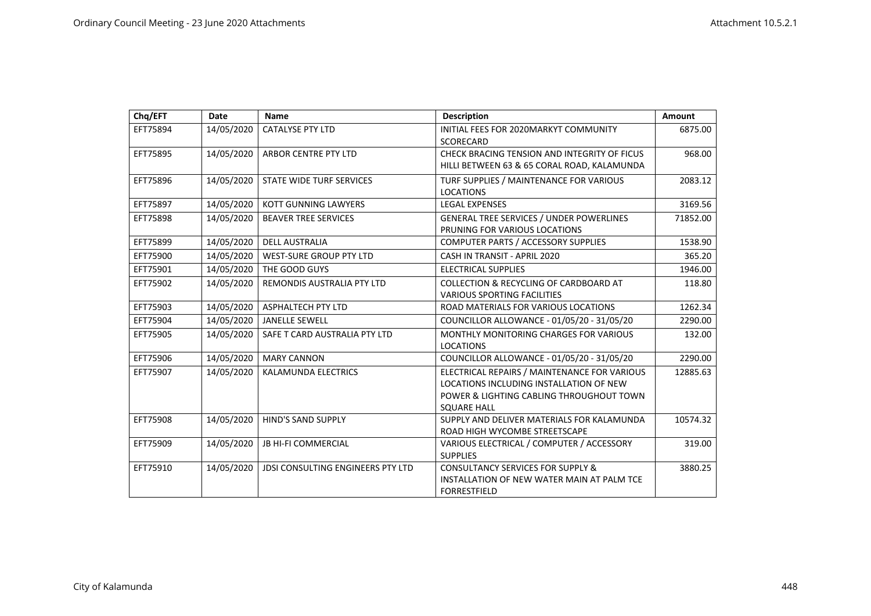| Chq/EFT  | <b>Date</b> | <b>Name</b>                              | <b>Description</b>                                | Amount   |
|----------|-------------|------------------------------------------|---------------------------------------------------|----------|
| EFT75894 | 14/05/2020  | <b>CATALYSE PTY LTD</b>                  | INITIAL FEES FOR 2020MARKYT COMMUNITY             | 6875.00  |
|          |             |                                          | <b>SCORECARD</b>                                  |          |
| EFT75895 | 14/05/2020  | <b>ARBOR CENTRE PTY LTD</b>              | CHECK BRACING TENSION AND INTEGRITY OF FICUS      | 968.00   |
|          |             |                                          | HILLI BETWEEN 63 & 65 CORAL ROAD, KALAMUNDA       |          |
| EFT75896 | 14/05/2020  | <b>STATE WIDE TURF SERVICES</b>          | TURF SUPPLIES / MAINTENANCE FOR VARIOUS           | 2083.12  |
|          |             |                                          | <b>LOCATIONS</b>                                  |          |
| EFT75897 | 14/05/2020  | <b>KOTT GUNNING LAWYERS</b>              | <b>LEGAL EXPENSES</b>                             | 3169.56  |
| EFT75898 | 14/05/2020  | <b>BEAVER TREE SERVICES</b>              | <b>GENERAL TREE SERVICES / UNDER POWERLINES</b>   | 71852.00 |
|          |             |                                          | PRUNING FOR VARIOUS LOCATIONS                     |          |
| EFT75899 | 14/05/2020  | <b>DELL AUSTRALIA</b>                    | COMPUTER PARTS / ACCESSORY SUPPLIES               | 1538.90  |
| EFT75900 | 14/05/2020  | <b>WEST-SURE GROUP PTY LTD</b>           | CASH IN TRANSIT - APRIL 2020                      | 365.20   |
| EFT75901 | 14/05/2020  | THE GOOD GUYS                            | <b>ELECTRICAL SUPPLIES</b>                        | 1946.00  |
| EFT75902 | 14/05/2020  | REMONDIS AUSTRALIA PTY LTD               | <b>COLLECTION &amp; RECYCLING OF CARDBOARD AT</b> | 118.80   |
|          |             |                                          | <b>VARIOUS SPORTING FACILITIES</b>                |          |
| EFT75903 | 14/05/2020  | ASPHALTECH PTY LTD                       | ROAD MATERIALS FOR VARIOUS LOCATIONS              | 1262.34  |
| EFT75904 | 14/05/2020  | <b>JANELLE SEWELL</b>                    | COUNCILLOR ALLOWANCE - 01/05/20 - 31/05/20        | 2290.00  |
| EFT75905 | 14/05/2020  | SAFE T CARD AUSTRALIA PTY LTD            | MONTHLY MONITORING CHARGES FOR VARIOUS            | 132.00   |
|          |             |                                          | <b>LOCATIONS</b>                                  |          |
| EFT75906 | 14/05/2020  | <b>MARY CANNON</b>                       | COUNCILLOR ALLOWANCE - 01/05/20 - 31/05/20        | 2290.00  |
| EFT75907 | 14/05/2020  | <b>KALAMUNDA ELECTRICS</b>               | ELECTRICAL REPAIRS / MAINTENANCE FOR VARIOUS      | 12885.63 |
|          |             |                                          | LOCATIONS INCLUDING INSTALLATION OF NEW           |          |
|          |             |                                          | POWER & LIGHTING CABLING THROUGHOUT TOWN          |          |
|          |             |                                          | <b>SQUARE HALL</b>                                |          |
| EFT75908 | 14/05/2020  | <b>HIND'S SAND SUPPLY</b>                | SUPPLY AND DELIVER MATERIALS FOR KALAMUNDA        | 10574.32 |
|          |             |                                          | ROAD HIGH WYCOMBE STREETSCAPE                     |          |
| EFT75909 | 14/05/2020  | <b>JB HI-FI COMMERCIAL</b>               | VARIOUS ELECTRICAL / COMPUTER / ACCESSORY         | 319.00   |
|          |             |                                          | <b>SUPPLIES</b>                                   |          |
| EFT75910 | 14/05/2020  | <b>JDSI CONSULTING ENGINEERS PTY LTD</b> | <b>CONSULTANCY SERVICES FOR SUPPLY &amp;</b>      | 3880.25  |
|          |             |                                          | INSTALLATION OF NEW WATER MAIN AT PALM TCE        |          |
|          |             |                                          | <b>FORRESTFIELD</b>                               |          |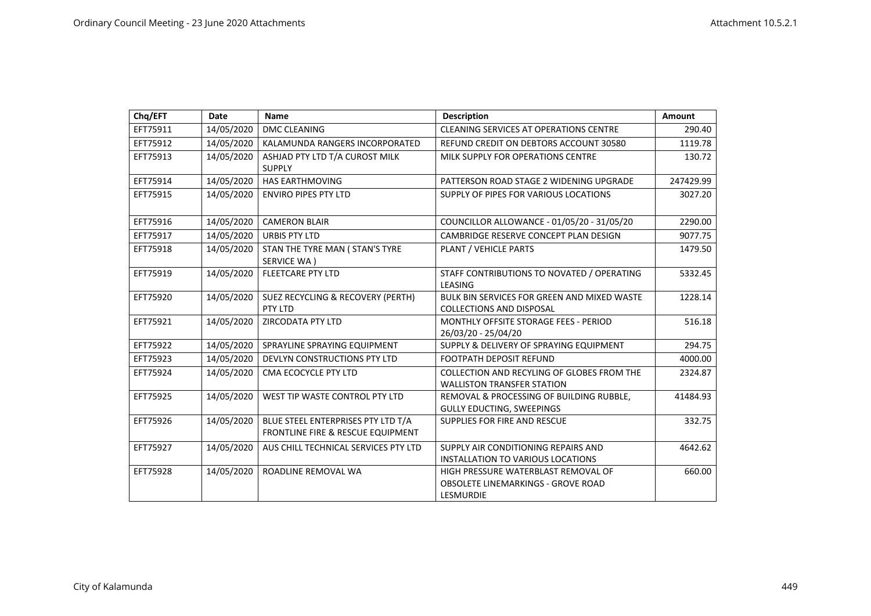| Chq/EFT  | <b>Date</b> | Name                                                                               | <b>Description</b>                                                                            | Amount    |
|----------|-------------|------------------------------------------------------------------------------------|-----------------------------------------------------------------------------------------------|-----------|
| EFT75911 | 14/05/2020  | <b>DMC CLEANING</b>                                                                | <b>CLEANING SERVICES AT OPERATIONS CENTRE</b>                                                 | 290.40    |
| EFT75912 | 14/05/2020  | KALAMUNDA RANGERS INCORPORATED                                                     | REFUND CREDIT ON DEBTORS ACCOUNT 30580                                                        | 1119.78   |
| EFT75913 | 14/05/2020  | ASHJAD PTY LTD T/A CUROST MILK<br><b>SUPPLY</b>                                    | MILK SUPPLY FOR OPERATIONS CENTRE                                                             | 130.72    |
| EFT75914 | 14/05/2020  | <b>HAS EARTHMOVING</b>                                                             | PATTERSON ROAD STAGE 2 WIDENING UPGRADE                                                       | 247429.99 |
| EFT75915 | 14/05/2020  | <b>ENVIRO PIPES PTY LTD</b>                                                        | SUPPLY OF PIPES FOR VARIOUS LOCATIONS                                                         | 3027.20   |
| EFT75916 | 14/05/2020  | <b>CAMERON BLAIR</b>                                                               | COUNCILLOR ALLOWANCE - 01/05/20 - 31/05/20                                                    | 2290.00   |
| EFT75917 | 14/05/2020  | <b>URBIS PTY LTD</b>                                                               | CAMBRIDGE RESERVE CONCEPT PLAN DESIGN                                                         | 9077.75   |
| EFT75918 | 14/05/2020  | STAN THE TYRE MAN ( STAN'S TYRE<br>SERVICE WA)                                     | PLANT / VEHICLE PARTS                                                                         | 1479.50   |
| EFT75919 | 14/05/2020  | <b>FLEETCARE PTY LTD</b>                                                           | STAFF CONTRIBUTIONS TO NOVATED / OPERATING<br>LEASING                                         | 5332.45   |
| EFT75920 | 14/05/2020  | <b>SUEZ RECYCLING &amp; RECOVERY (PERTH)</b><br>PTY LTD                            | <b>BULK BIN SERVICES FOR GREEN AND MIXED WASTE</b><br><b>COLLECTIONS AND DISPOSAL</b>         | 1228.14   |
| EFT75921 | 14/05/2020  | ZIRCODATA PTY LTD                                                                  | MONTHLY OFFSITE STORAGE FEES - PERIOD<br>26/03/20 - 25/04/20                                  | 516.18    |
| EFT75922 | 14/05/2020  | SPRAYLINE SPRAYING EQUIPMENT                                                       | SUPPLY & DELIVERY OF SPRAYING EQUIPMENT                                                       | 294.75    |
| EFT75923 | 14/05/2020  | DEVLYN CONSTRUCTIONS PTY LTD                                                       | <b>FOOTPATH DEPOSIT REFUND</b>                                                                | 4000.00   |
| EFT75924 | 14/05/2020  | CMA ECOCYCLE PTY LTD                                                               | COLLECTION AND RECYLING OF GLOBES FROM THE<br><b>WALLISTON TRANSFER STATION</b>               | 2324.87   |
| EFT75925 | 14/05/2020  | WEST TIP WASTE CONTROL PTY LTD                                                     | REMOVAL & PROCESSING OF BUILDING RUBBLE,<br><b>GULLY EDUCTING, SWEEPINGS</b>                  | 41484.93  |
| EFT75926 | 14/05/2020  | BLUE STEEL ENTERPRISES PTY LTD T/A<br><b>FRONTLINE FIRE &amp; RESCUE EQUIPMENT</b> | SUPPLIES FOR FIRE AND RESCUE                                                                  | 332.75    |
| EFT75927 | 14/05/2020  | AUS CHILL TECHNICAL SERVICES PTY LTD                                               | SUPPLY AIR CONDITIONING REPAIRS AND<br><b>INSTALLATION TO VARIOUS LOCATIONS</b>               | 4642.62   |
| EFT75928 | 14/05/2020  | ROADLINE REMOVAL WA                                                                | HIGH PRESSURE WATERBLAST REMOVAL OF<br>OBSOLETE LINEMARKINGS - GROVE ROAD<br><b>LESMURDIE</b> | 660.00    |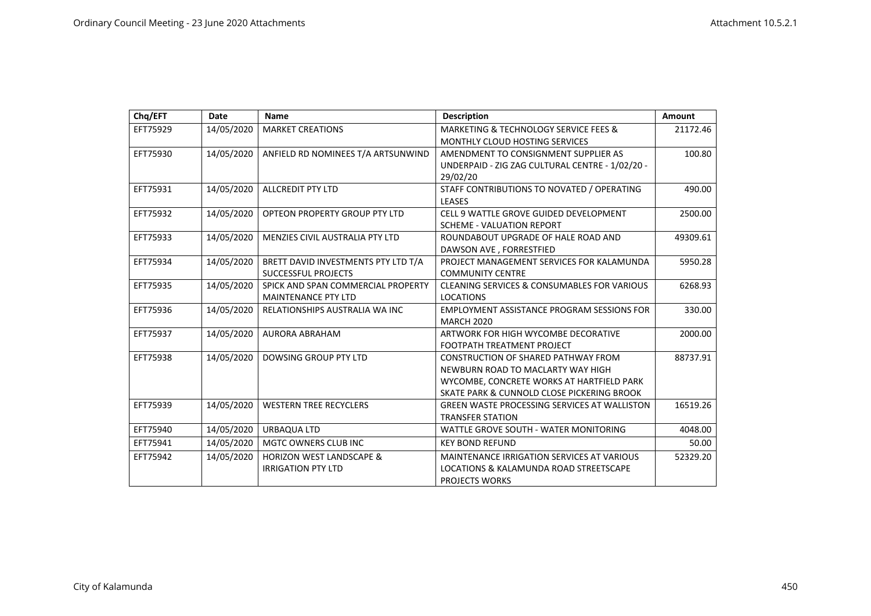| Chq/EFT  | <b>Date</b> | <b>Name</b>                         | <b>Description</b>                                     | <b>Amount</b> |
|----------|-------------|-------------------------------------|--------------------------------------------------------|---------------|
| EFT75929 | 14/05/2020  | <b>MARKET CREATIONS</b>             | <b>MARKETING &amp; TECHNOLOGY SERVICE FEES &amp;</b>   | 21172.46      |
|          |             |                                     | MONTHLY CLOUD HOSTING SERVICES                         |               |
| EFT75930 | 14/05/2020  | ANFIELD RD NOMINEES T/A ARTSUNWIND  | AMENDMENT TO CONSIGNMENT SUPPLIER AS                   | 100.80        |
|          |             |                                     | UNDERPAID - ZIG ZAG CULTURAL CENTRE - 1/02/20 -        |               |
|          |             |                                     | 29/02/20                                               |               |
| EFT75931 | 14/05/2020  | <b>ALLCREDIT PTY LTD</b>            | STAFF CONTRIBUTIONS TO NOVATED / OPERATING             | 490.00        |
|          |             |                                     | <b>LEASES</b>                                          |               |
| EFT75932 | 14/05/2020  | OPTEON PROPERTY GROUP PTY LTD       | CELL 9 WATTLE GROVE GUIDED DEVELOPMENT                 | 2500.00       |
|          |             |                                     | <b>SCHEME - VALUATION REPORT</b>                       |               |
| EFT75933 | 14/05/2020  | MENZIES CIVIL AUSTRALIA PTY LTD     | ROUNDABOUT UPGRADE OF HALE ROAD AND                    | 49309.61      |
|          |             |                                     | DAWSON AVE, FORRESTFIED                                |               |
| EFT75934 | 14/05/2020  | BRETT DAVID INVESTMENTS PTY LTD T/A | PROJECT MANAGEMENT SERVICES FOR KALAMUNDA              | 5950.28       |
|          |             | <b>SUCCESSFUL PROJECTS</b>          | <b>COMMUNITY CENTRE</b>                                |               |
| EFT75935 | 14/05/2020  | SPICK AND SPAN COMMERCIAL PROPERTY  | <b>CLEANING SERVICES &amp; CONSUMABLES FOR VARIOUS</b> | 6268.93       |
|          |             | <b>MAINTENANCE PTY LTD</b>          | <b>LOCATIONS</b>                                       |               |
| EFT75936 | 14/05/2020  | RELATIONSHIPS AUSTRALIA WA INC      | EMPLOYMENT ASSISTANCE PROGRAM SESSIONS FOR             | 330.00        |
|          |             |                                     | <b>MARCH 2020</b>                                      |               |
| EFT75937 | 14/05/2020  | AURORA ABRAHAM                      | ARTWORK FOR HIGH WYCOMBE DECORATIVE                    | 2000.00       |
|          |             |                                     | FOOTPATH TREATMENT PROJECT                             |               |
| EFT75938 | 14/05/2020  | <b>DOWSING GROUP PTY LTD</b>        | <b>CONSTRUCTION OF SHARED PATHWAY FROM</b>             | 88737.91      |
|          |             |                                     | NEWBURN ROAD TO MACLARTY WAY HIGH                      |               |
|          |             |                                     | WYCOMBE, CONCRETE WORKS AT HARTFIELD PARK              |               |
|          |             |                                     | SKATE PARK & CUNNOLD CLOSE PICKERING BROOK             |               |
| EFT75939 | 14/05/2020  | <b>WESTERN TREE RECYCLERS</b>       | <b>GREEN WASTE PROCESSING SERVICES AT WALLISTON</b>    | 16519.26      |
|          |             |                                     | <b>TRANSFER STATION</b>                                |               |
| EFT75940 | 14/05/2020  | URBAQUA LTD                         | WATTLE GROVE SOUTH - WATER MONITORING                  | 4048.00       |
| EFT75941 | 14/05/2020  | <b>MGTC OWNERS CLUB INC</b>         | <b>KEY BOND REFUND</b>                                 | 50.00         |
| EFT75942 | 14/05/2020  | <b>HORIZON WEST LANDSCAPE &amp;</b> | MAINTENANCE IRRIGATION SERVICES AT VARIOUS             | 52329.20      |
|          |             | <b>IRRIGATION PTY LTD</b>           | LOCATIONS & KALAMUNDA ROAD STREETSCAPE                 |               |
|          |             |                                     | <b>PROJECTS WORKS</b>                                  |               |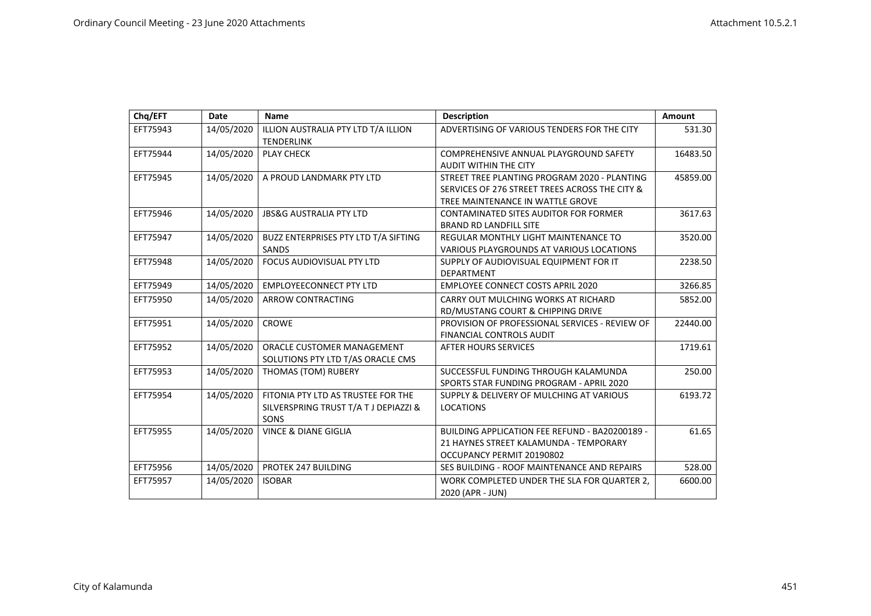| Chq/EFT  | <b>Date</b> | Name                                                                                | <b>Description</b>                                                                                                                 | Amount   |
|----------|-------------|-------------------------------------------------------------------------------------|------------------------------------------------------------------------------------------------------------------------------------|----------|
| EFT75943 | 14/05/2020  | ILLION AUSTRALIA PTY LTD T/A ILLION<br><b>TENDERLINK</b>                            | ADVERTISING OF VARIOUS TENDERS FOR THE CITY                                                                                        | 531.30   |
| EFT75944 | 14/05/2020  | <b>PLAY CHECK</b>                                                                   | COMPREHENSIVE ANNUAL PLAYGROUND SAFETY<br><b>AUDIT WITHIN THE CITY</b>                                                             | 16483.50 |
| EFT75945 | 14/05/2020  | A PROUD LANDMARK PTY LTD                                                            | STREET TREE PLANTING PROGRAM 2020 - PLANTING<br>SERVICES OF 276 STREET TREES ACROSS THE CITY &<br>TREE MAINTENANCE IN WATTLE GROVE | 45859.00 |
| EFT75946 | 14/05/2020  | <b>JBS&amp;G AUSTRALIA PTY LTD</b>                                                  | <b>CONTAMINATED SITES AUDITOR FOR FORMER</b><br><b>BRAND RD LANDFILL SITE</b>                                                      | 3617.63  |
| EFT75947 | 14/05/2020  | BUZZ ENTERPRISES PTY LTD T/A SIFTING<br><b>SANDS</b>                                | REGULAR MONTHLY LIGHT MAINTENANCE TO<br>VARIOUS PLAYGROUNDS AT VARIOUS LOCATIONS                                                   | 3520.00  |
| EFT75948 | 14/05/2020  | FOCUS AUDIOVISUAL PTY LTD                                                           | SUPPLY OF AUDIOVISUAL EQUIPMENT FOR IT<br><b>DEPARTMENT</b>                                                                        | 2238.50  |
| EFT75949 | 14/05/2020  | <b>EMPLOYEECONNECT PTY LTD</b>                                                      | <b>EMPLOYEE CONNECT COSTS APRIL 2020</b>                                                                                           | 3266.85  |
| EFT75950 | 14/05/2020  | ARROW CONTRACTING                                                                   | CARRY OUT MULCHING WORKS AT RICHARD<br><b>RD/MUSTANG COURT &amp; CHIPPING DRIVE</b>                                                | 5852.00  |
| EFT75951 | 14/05/2020  | <b>CROWE</b>                                                                        | PROVISION OF PROFESSIONAL SERVICES - REVIEW OF<br><b>FINANCIAL CONTROLS AUDIT</b>                                                  | 22440.00 |
| EFT75952 | 14/05/2020  | ORACLE CUSTOMER MANAGEMENT<br>SOLUTIONS PTY LTD T/AS ORACLE CMS                     | AFTER HOURS SERVICES                                                                                                               | 1719.61  |
| EFT75953 | 14/05/2020  | THOMAS (TOM) RUBERY                                                                 | SUCCESSFUL FUNDING THROUGH KALAMUNDA<br>SPORTS STAR FUNDING PROGRAM - APRIL 2020                                                   | 250.00   |
| EFT75954 | 14/05/2020  | FITONIA PTY LTD AS TRUSTEE FOR THE<br>SILVERSPRING TRUST T/A T J DEPIAZZI &<br>SONS | SUPPLY & DELIVERY OF MULCHING AT VARIOUS<br><b>LOCATIONS</b>                                                                       | 6193.72  |
| EFT75955 | 14/05/2020  | <b>VINCE &amp; DIANE GIGLIA</b>                                                     | BUILDING APPLICATION FEE REFUND - BA20200189 -<br>21 HAYNES STREET KALAMUNDA - TEMPORARY<br>OCCUPANCY PERMIT 20190802              | 61.65    |
| EFT75956 | 14/05/2020  | PROTEK 247 BUILDING                                                                 | SES BUILDING - ROOF MAINTENANCE AND REPAIRS                                                                                        | 528.00   |
| EFT75957 | 14/05/2020  | <b>ISOBAR</b>                                                                       | WORK COMPLETED UNDER THE SLA FOR QUARTER 2,<br>2020 (APR - JUN)                                                                    | 6600.00  |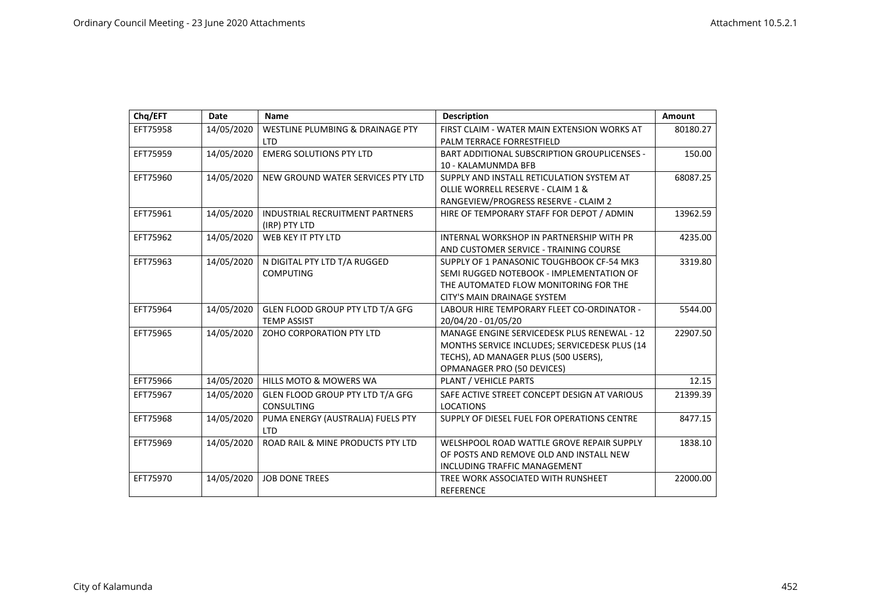| Chq/EFT  | <b>Date</b> | <b>Name</b>                                 | <b>Description</b>                                  | Amount   |
|----------|-------------|---------------------------------------------|-----------------------------------------------------|----------|
| EFT75958 | 14/05/2020  | <b>WESTLINE PLUMBING &amp; DRAINAGE PTY</b> | FIRST CLAIM - WATER MAIN EXTENSION WORKS AT         | 80180.27 |
|          |             | <b>LTD</b>                                  | PALM TERRACE FORRESTFIELD                           |          |
| EFT75959 | 14/05/2020  | <b>EMERG SOLUTIONS PTY LTD</b>              | <b>BART ADDITIONAL SUBSCRIPTION GROUPLICENSES -</b> | 150.00   |
|          |             |                                             | 10 - KALAMUNMDA BFB                                 |          |
| EFT75960 | 14/05/2020  | NEW GROUND WATER SERVICES PTY LTD           | SUPPLY AND INSTALL RETICULATION SYSTEM AT           | 68087.25 |
|          |             |                                             | OLLIE WORRELL RESERVE - CLAIM 1 &                   |          |
|          |             |                                             | RANGEVIEW/PROGRESS RESERVE - CLAIM 2                |          |
| EFT75961 | 14/05/2020  | <b>INDUSTRIAL RECRUITMENT PARTNERS</b>      | HIRE OF TEMPORARY STAFF FOR DEPOT / ADMIN           | 13962.59 |
|          |             | (IRP) PTY LTD                               |                                                     |          |
| EFT75962 | 14/05/2020  | WEB KEY IT PTY LTD                          | INTERNAL WORKSHOP IN PARTNERSHIP WITH PR            | 4235.00  |
|          |             |                                             | AND CUSTOMER SERVICE - TRAINING COURSE              |          |
| EFT75963 | 14/05/2020  | N DIGITAL PTY LTD T/A RUGGED                | SUPPLY OF 1 PANASONIC TOUGHBOOK CF-54 MK3           | 3319.80  |
|          |             | <b>COMPUTING</b>                            | SEMI RUGGED NOTEBOOK - IMPLEMENTATION OF            |          |
|          |             |                                             | THE AUTOMATED FLOW MONITORING FOR THE               |          |
|          |             |                                             | CITY'S MAIN DRAINAGE SYSTEM                         |          |
| EFT75964 | 14/05/2020  | GLEN FLOOD GROUP PTY LTD T/A GFG            | LABOUR HIRE TEMPORARY FLEET CO-ORDINATOR -          | 5544.00  |
|          |             | <b>TEMP ASSIST</b>                          | 20/04/20 - 01/05/20                                 |          |
| EFT75965 | 14/05/2020  | ZOHO CORPORATION PTY LTD                    | <b>MANAGE ENGINE SERVICEDESK PLUS RENEWAL - 12</b>  | 22907.50 |
|          |             |                                             | MONTHS SERVICE INCLUDES; SERVICEDESK PLUS (14       |          |
|          |             |                                             | TECHS), AD MANAGER PLUS (500 USERS),                |          |
|          |             |                                             | <b>OPMANAGER PRO (50 DEVICES)</b>                   |          |
| EFT75966 | 14/05/2020  | <b>HILLS MOTO &amp; MOWERS WA</b>           | PLANT / VEHICLE PARTS                               | 12.15    |
| EFT75967 | 14/05/2020  | GLEN FLOOD GROUP PTY LTD T/A GFG            | SAFE ACTIVE STREET CONCEPT DESIGN AT VARIOUS        | 21399.39 |
|          |             | <b>CONSULTING</b>                           | <b>LOCATIONS</b>                                    |          |
| EFT75968 | 14/05/2020  | PUMA ENERGY (AUSTRALIA) FUELS PTY           | SUPPLY OF DIESEL FUEL FOR OPERATIONS CENTRE         | 8477.15  |
|          |             | <b>LTD</b>                                  |                                                     |          |
| EFT75969 | 14/05/2020  | ROAD RAIL & MINE PRODUCTS PTY LTD           | WELSHPOOL ROAD WATTLE GROVE REPAIR SUPPLY           | 1838.10  |
|          |             |                                             | OF POSTS AND REMOVE OLD AND INSTALL NEW             |          |
|          |             |                                             | <b>INCLUDING TRAFFIC MANAGEMENT</b>                 |          |
| EFT75970 | 14/05/2020  | <b>JOB DONE TREES</b>                       | TREE WORK ASSOCIATED WITH RUNSHEET                  | 22000.00 |
|          |             |                                             | <b>REFERENCE</b>                                    |          |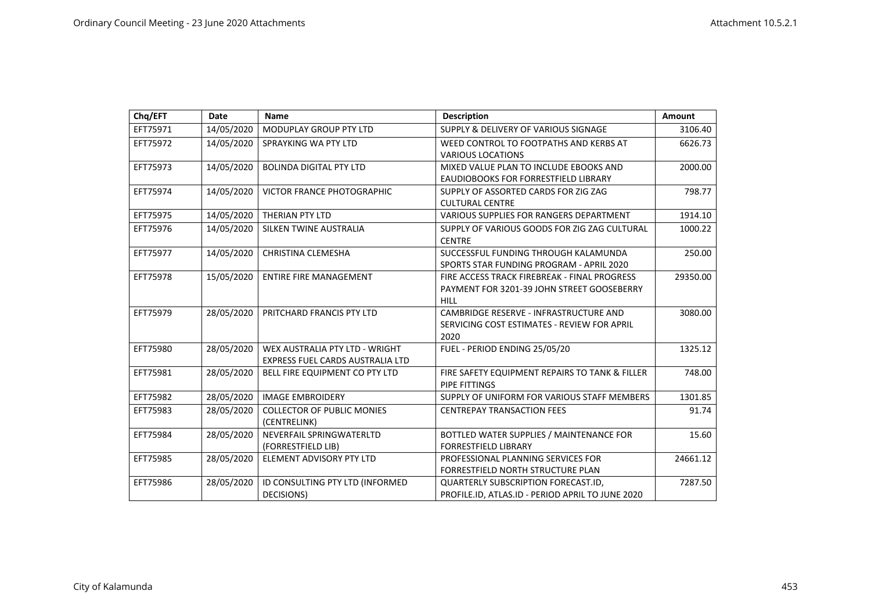| Chq/EFT  | <b>Date</b> | <b>Name</b>                                                               | <b>Description</b>                                                                                        | <b>Amount</b> |
|----------|-------------|---------------------------------------------------------------------------|-----------------------------------------------------------------------------------------------------------|---------------|
| EFT75971 | 14/05/2020  | <b>MODUPLAY GROUP PTY LTD</b>                                             | SUPPLY & DELIVERY OF VARIOUS SIGNAGE                                                                      | 3106.40       |
| EFT75972 | 14/05/2020  | SPRAYKING WA PTY LTD                                                      | WEED CONTROL TO FOOTPATHS AND KERBS AT<br><b>VARIOUS LOCATIONS</b>                                        | 6626.73       |
| EFT75973 | 14/05/2020  | <b>BOLINDA DIGITAL PTY LTD</b>                                            | MIXED VALUE PLAN TO INCLUDE EBOOKS AND<br>EAUDIOBOOKS FOR FORRESTFIELD LIBRARY                            | 2000.00       |
| EFT75974 | 14/05/2020  | <b>VICTOR FRANCE PHOTOGRAPHIC</b>                                         | SUPPLY OF ASSORTED CARDS FOR ZIG ZAG<br><b>CULTURAL CENTRE</b>                                            | 798.77        |
| EFT75975 | 14/05/2020  | THERIAN PTY LTD                                                           | <b>VARIOUS SUPPLIES FOR RANGERS DEPARTMENT</b>                                                            | 1914.10       |
| EFT75976 | 14/05/2020  | SILKEN TWINE AUSTRALIA                                                    | SUPPLY OF VARIOUS GOODS FOR ZIG ZAG CULTURAL<br><b>CENTRE</b>                                             | 1000.22       |
| EFT75977 | 14/05/2020  | <b>CHRISTINA CLEMESHA</b>                                                 | SUCCESSFUL FUNDING THROUGH KALAMUNDA<br>SPORTS STAR FUNDING PROGRAM - APRIL 2020                          | 250.00        |
| EFT75978 | 15/05/2020  | <b>ENTIRE FIRE MANAGEMENT</b>                                             | FIRE ACCESS TRACK FIREBREAK - FINAL PROGRESS<br>PAYMENT FOR 3201-39 JOHN STREET GOOSEBERRY<br><b>HILL</b> | 29350.00      |
| EFT75979 | 28/05/2020  | PRITCHARD FRANCIS PTY LTD                                                 | CAMBRIDGE RESERVE - INFRASTRUCTURE AND<br>SERVICING COST ESTIMATES - REVIEW FOR APRIL<br>2020             | 3080.00       |
| EFT75980 | 28/05/2020  | WEX AUSTRALIA PTY LTD - WRIGHT<br><b>EXPRESS FUEL CARDS AUSTRALIA LTD</b> | FUEL - PERIOD ENDING 25/05/20                                                                             | 1325.12       |
| EFT75981 | 28/05/2020  | BELL FIRE EQUIPMENT CO PTY LTD                                            | FIRE SAFETY EQUIPMENT REPAIRS TO TANK & FILLER<br>PIPE FITTINGS                                           | 748.00        |
| EFT75982 | 28/05/2020  | <b>IMAGE EMBROIDERY</b>                                                   | SUPPLY OF UNIFORM FOR VARIOUS STAFF MEMBERS                                                               | 1301.85       |
| EFT75983 | 28/05/2020  | <b>COLLECTOR OF PUBLIC MONIES</b><br>(CENTRELINK)                         | <b>CENTREPAY TRANSACTION FEES</b>                                                                         | 91.74         |
| EFT75984 | 28/05/2020  | NEVERFAIL SPRINGWATERLTD<br>(FORRESTFIELD LIB)                            | BOTTLED WATER SUPPLIES / MAINTENANCE FOR<br><b>FORRESTFIELD LIBRARY</b>                                   | 15.60         |
| EFT75985 | 28/05/2020  | <b>ELEMENT ADVISORY PTY LTD</b>                                           | PROFESSIONAL PLANNING SERVICES FOR<br>FORRESTFIELD NORTH STRUCTURE PLAN                                   | 24661.12      |
| EFT75986 | 28/05/2020  | ID CONSULTING PTY LTD (INFORMED<br>DECISIONS)                             | <b>QUARTERLY SUBSCRIPTION FORECAST.ID,</b><br>PROFILE.ID, ATLAS.ID - PERIOD APRIL TO JUNE 2020            | 7287.50       |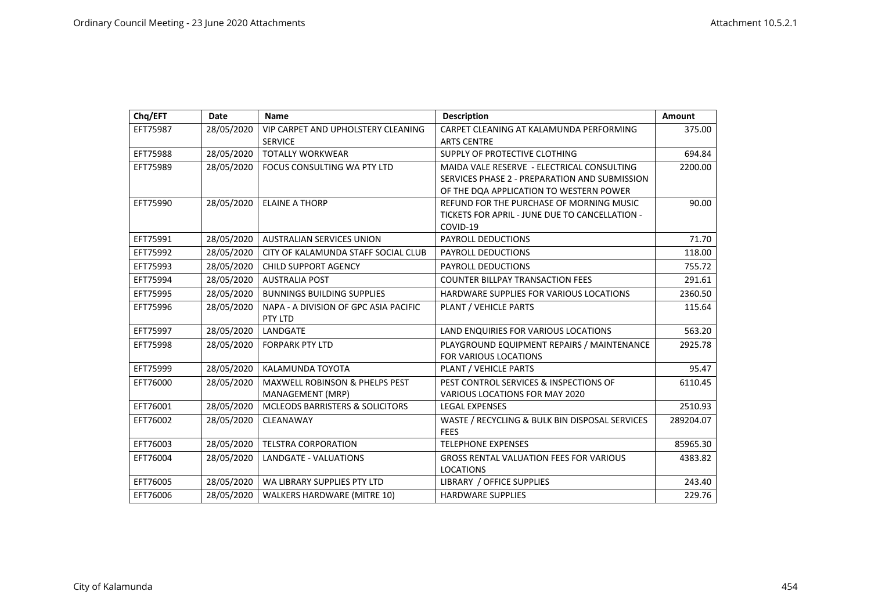| Chq/EFT  | <b>Date</b> | <b>Name</b>                                      | <b>Description</b>                             | Amount    |
|----------|-------------|--------------------------------------------------|------------------------------------------------|-----------|
| EFT75987 | 28/05/2020  | <b>VIP CARPET AND UPHOLSTERY CLEANING</b>        | CARPET CLEANING AT KALAMUNDA PERFORMING        | 375.00    |
|          |             | <b>SERVICE</b>                                   | <b>ARTS CENTRE</b>                             |           |
| EFT75988 | 28/05/2020  | <b>TOTALLY WORKWEAR</b>                          | SUPPLY OF PROTECTIVE CLOTHING                  | 694.84    |
| EFT75989 | 28/05/2020  | FOCUS CONSULTING WA PTY LTD                      | MAIDA VALE RESERVE - ELECTRICAL CONSULTING     | 2200.00   |
|          |             |                                                  | SERVICES PHASE 2 - PREPARATION AND SUBMISSION  |           |
|          |             |                                                  | OF THE DQA APPLICATION TO WESTERN POWER        |           |
| EFT75990 | 28/05/2020  | <b>ELAINE A THORP</b>                            | REFUND FOR THE PURCHASE OF MORNING MUSIC       | 90.00     |
|          |             |                                                  | TICKETS FOR APRIL - JUNE DUE TO CANCELLATION - |           |
|          |             |                                                  | COVID-19                                       |           |
| EFT75991 | 28/05/2020  | <b>AUSTRALIAN SERVICES UNION</b>                 | <b>PAYROLL DEDUCTIONS</b>                      | 71.70     |
| EFT75992 | 28/05/2020  | CITY OF KALAMUNDA STAFF SOCIAL CLUB              | <b>PAYROLL DEDUCTIONS</b>                      | 118.00    |
| EFT75993 | 28/05/2020  | <b>CHILD SUPPORT AGENCY</b>                      | <b>PAYROLL DEDUCTIONS</b>                      | 755.72    |
| EFT75994 | 28/05/2020  | <b>AUSTRALIA POST</b>                            | <b>COUNTER BILLPAY TRANSACTION FEES</b>        | 291.61    |
| EFT75995 | 28/05/2020  | <b>BUNNINGS BUILDING SUPPLIES</b>                | HARDWARE SUPPLIES FOR VARIOUS LOCATIONS        | 2360.50   |
| EFT75996 | 28/05/2020  | NAPA - A DIVISION OF GPC ASIA PACIFIC<br>PTY LTD | PLANT / VEHICLE PARTS                          | 115.64    |
| EFT75997 | 28/05/2020  | LANDGATE                                         | LAND ENQUIRIES FOR VARIOUS LOCATIONS           | 563.20    |
| EFT75998 | 28/05/2020  | <b>FORPARK PTY LTD</b>                           | PLAYGROUND EQUIPMENT REPAIRS / MAINTENANCE     | 2925.78   |
|          |             |                                                  | <b>FOR VARIOUS LOCATIONS</b>                   |           |
| EFT75999 | 28/05/2020  | KALAMUNDA TOYOTA                                 | PLANT / VEHICLE PARTS                          | 95.47     |
| EFT76000 | 28/05/2020  | <b>MAXWELL ROBINSON &amp; PHELPS PEST</b>        | PEST CONTROL SERVICES & INSPECTIONS OF         | 6110.45   |
|          |             | MANAGEMENT (MRP)                                 | VARIOUS LOCATIONS FOR MAY 2020                 |           |
| EFT76001 | 28/05/2020  | <b>MCLEODS BARRISTERS &amp; SOLICITORS</b>       | <b>LEGAL EXPENSES</b>                          | 2510.93   |
| EFT76002 | 28/05/2020  | CLEANAWAY                                        | WASTE / RECYCLING & BULK BIN DISPOSAL SERVICES | 289204.07 |
|          |             |                                                  | <b>FEES</b>                                    |           |
| EFT76003 | 28/05/2020  | <b>TELSTRA CORPORATION</b>                       | <b>TELEPHONE EXPENSES</b>                      | 85965.30  |
| EFT76004 | 28/05/2020  | LANDGATE - VALUATIONS                            | <b>GROSS RENTAL VALUATION FEES FOR VARIOUS</b> | 4383.82   |
|          |             |                                                  | <b>LOCATIONS</b>                               |           |
| EFT76005 | 28/05/2020  | WA LIBRARY SUPPLIES PTY LTD                      | LIBRARY / OFFICE SUPPLIES                      | 243.40    |
| EFT76006 | 28/05/2020  | <b>WALKERS HARDWARE (MITRE 10)</b>               | <b>HARDWARE SUPPLIES</b>                       | 229.76    |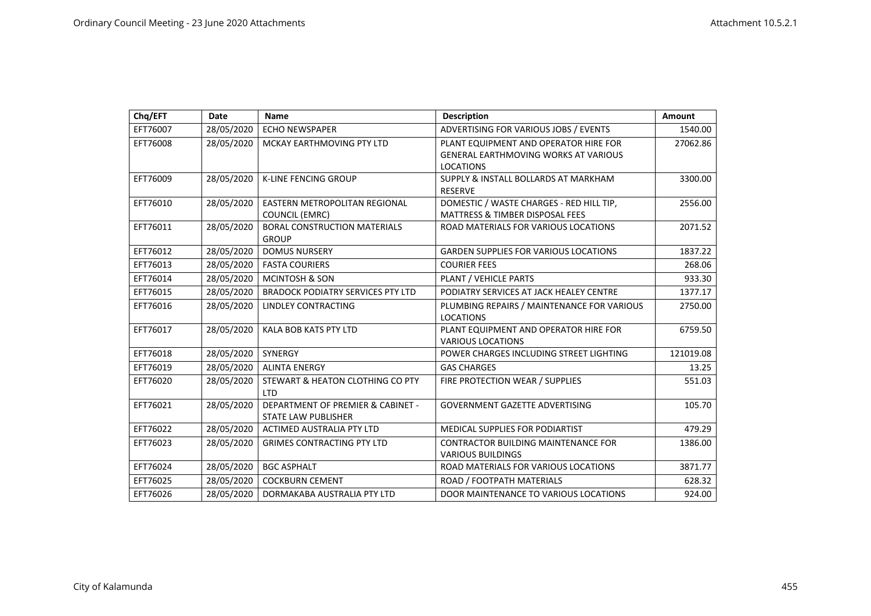| Chq/EFT  | <b>Date</b> | Name                                                            | <b>Description</b>                                                                                       | <b>Amount</b> |
|----------|-------------|-----------------------------------------------------------------|----------------------------------------------------------------------------------------------------------|---------------|
| EFT76007 | 28/05/2020  | <b>ECHO NEWSPAPER</b>                                           | ADVERTISING FOR VARIOUS JOBS / EVENTS                                                                    | 1540.00       |
| EFT76008 | 28/05/2020  | MCKAY EARTHMOVING PTY LTD                                       | PLANT EQUIPMENT AND OPERATOR HIRE FOR<br><b>GENERAL EARTHMOVING WORKS AT VARIOUS</b><br><b>LOCATIONS</b> | 27062.86      |
| EFT76009 | 28/05/2020  | <b>K-LINE FENCING GROUP</b>                                     | SUPPLY & INSTALL BOLLARDS AT MARKHAM<br><b>RESERVE</b>                                                   | 3300.00       |
| EFT76010 | 28/05/2020  | <b>EASTERN METROPOLITAN REGIONAL</b><br><b>COUNCIL (EMRC)</b>   | DOMESTIC / WASTE CHARGES - RED HILL TIP,<br><b>MATTRESS &amp; TIMBER DISPOSAL FEES</b>                   | 2556.00       |
| EFT76011 | 28/05/2020  | <b>BORAL CONSTRUCTION MATERIALS</b><br><b>GROUP</b>             | ROAD MATERIALS FOR VARIOUS LOCATIONS                                                                     | 2071.52       |
| EFT76012 | 28/05/2020  | <b>DOMUS NURSERY</b>                                            | <b>GARDEN SUPPLIES FOR VARIOUS LOCATIONS</b>                                                             | 1837.22       |
| EFT76013 | 28/05/2020  | <b>FASTA COURIERS</b>                                           | <b>COURIER FEES</b>                                                                                      | 268.06        |
| EFT76014 | 28/05/2020  | <b>MCINTOSH &amp; SON</b>                                       | PLANT / VEHICLE PARTS                                                                                    | 933.30        |
| EFT76015 | 28/05/2020  | <b>BRADOCK PODIATRY SERVICES PTY LTD</b>                        | PODIATRY SERVICES AT JACK HEALEY CENTRE                                                                  | 1377.17       |
| EFT76016 | 28/05/2020  | LINDLEY CONTRACTING                                             | PLUMBING REPAIRS / MAINTENANCE FOR VARIOUS<br><b>LOCATIONS</b>                                           | 2750.00       |
| EFT76017 | 28/05/2020  | <b>KALA BOB KATS PTY LTD</b>                                    | PLANT EQUIPMENT AND OPERATOR HIRE FOR<br><b>VARIOUS LOCATIONS</b>                                        | 6759.50       |
| EFT76018 | 28/05/2020  | SYNERGY                                                         | POWER CHARGES INCLUDING STREET LIGHTING                                                                  | 121019.08     |
| EFT76019 | 28/05/2020  | <b>ALINTA ENERGY</b>                                            | <b>GAS CHARGES</b>                                                                                       | 13.25         |
| EFT76020 | 28/05/2020  | STEWART & HEATON CLOTHING CO PTY<br><b>LTD</b>                  | FIRE PROTECTION WEAR / SUPPLIES                                                                          | 551.03        |
| EFT76021 | 28/05/2020  | DEPARTMENT OF PREMIER & CABINET -<br><b>STATE LAW PUBLISHER</b> | <b>GOVERNMENT GAZETTE ADVERTISING</b>                                                                    | 105.70        |
| EFT76022 | 28/05/2020  | <b>ACTIMED AUSTRALIA PTY LTD</b>                                | <b>MEDICAL SUPPLIES FOR PODIARTIST</b>                                                                   | 479.29        |
| EFT76023 | 28/05/2020  | <b>GRIMES CONTRACTING PTY LTD</b>                               | <b>CONTRACTOR BUILDING MAINTENANCE FOR</b><br><b>VARIOUS BUILDINGS</b>                                   | 1386.00       |
| EFT76024 | 28/05/2020  | <b>BGC ASPHALT</b>                                              | ROAD MATERIALS FOR VARIOUS LOCATIONS                                                                     | 3871.77       |
| EFT76025 | 28/05/2020  | <b>COCKBURN CEMENT</b>                                          | ROAD / FOOTPATH MATERIALS                                                                                | 628.32        |
| EFT76026 | 28/05/2020  | DORMAKABA AUSTRALIA PTY LTD                                     | DOOR MAINTENANCE TO VARIOUS LOCATIONS                                                                    | 924.00        |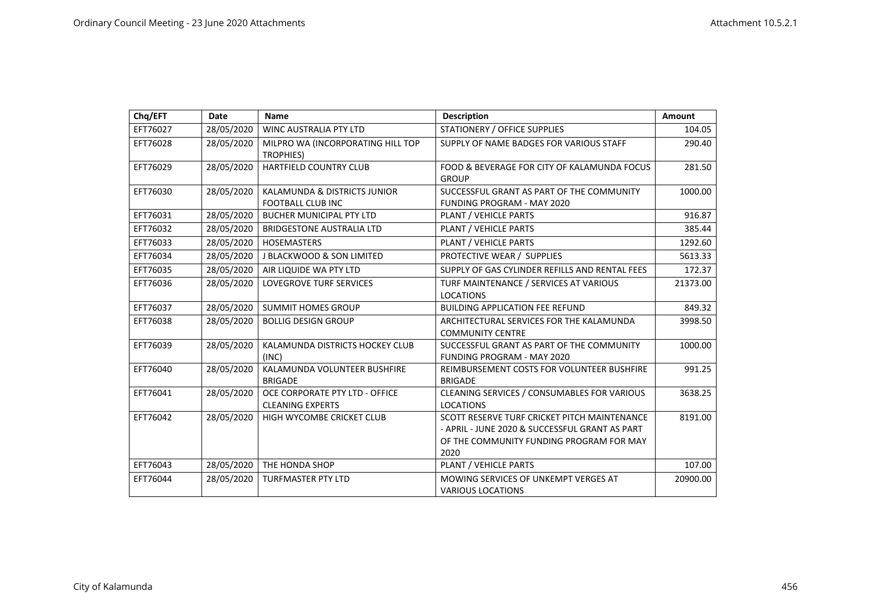| Chq/EFT  | <b>Date</b> | <b>Name</b>                                               | <b>Description</b>                                                                                                                                 | Amount   |
|----------|-------------|-----------------------------------------------------------|----------------------------------------------------------------------------------------------------------------------------------------------------|----------|
| EFT76027 | 28/05/2020  | <b>WINC AUSTRALIA PTY LTD</b>                             | <b>STATIONERY / OFFICE SUPPLIES</b>                                                                                                                | 104.05   |
| EFT76028 | 28/05/2020  | MILPRO WA (INCORPORATING HILL TOP<br><b>TROPHIES)</b>     | SUPPLY OF NAME BADGES FOR VARIOUS STAFF                                                                                                            | 290.40   |
| EFT76029 | 28/05/2020  | <b>HARTFIELD COUNTRY CLUB</b>                             | FOOD & BEVERAGE FOR CITY OF KALAMUNDA FOCUS<br><b>GROUP</b>                                                                                        | 281.50   |
| EFT76030 | 28/05/2020  | KALAMUNDA & DISTRICTS JUNIOR<br><b>FOOTBALL CLUB INC</b>  | SUCCESSFUL GRANT AS PART OF THE COMMUNITY<br>FUNDING PROGRAM - MAY 2020                                                                            | 1000.00  |
| EFT76031 | 28/05/2020  | <b>BUCHER MUNICIPAL PTY LTD</b>                           | PLANT / VEHICLE PARTS                                                                                                                              | 916.87   |
| EFT76032 | 28/05/2020  | <b>BRIDGESTONE AUSTRALIA LTD</b>                          | <b>PLANT / VEHICLE PARTS</b>                                                                                                                       | 385.44   |
| EFT76033 | 28/05/2020  | HOSEMASTERS                                               | PLANT / VEHICLE PARTS                                                                                                                              | 1292.60  |
| EFT76034 | 28/05/2020  | <b>J BLACKWOOD &amp; SON LIMITED</b>                      | PROTECTIVE WEAR / SUPPLIES                                                                                                                         | 5613.33  |
| EFT76035 | 28/05/2020  | AIR LIQUIDE WA PTY LTD                                    | SUPPLY OF GAS CYLINDER REFILLS AND RENTAL FEES                                                                                                     | 172.37   |
| EFT76036 | 28/05/2020  | <b>LOVEGROVE TURF SERVICES</b>                            | TURF MAINTENANCE / SERVICES AT VARIOUS<br><b>LOCATIONS</b>                                                                                         | 21373.00 |
| EFT76037 | 28/05/2020  | <b>SUMMIT HOMES GROUP</b>                                 | <b>BUILDING APPLICATION FEE REFUND</b>                                                                                                             | 849.32   |
| EFT76038 | 28/05/2020  | <b>BOLLIG DESIGN GROUP</b>                                | ARCHITECTURAL SERVICES FOR THE KALAMUNDA<br><b>COMMUNITY CENTRE</b>                                                                                | 3998.50  |
| EFT76039 | 28/05/2020  | KALAMUNDA DISTRICTS HOCKEY CLUB<br>(INC)                  | SUCCESSFUL GRANT AS PART OF THE COMMUNITY<br><b>FUNDING PROGRAM - MAY 2020</b>                                                                     | 1000.00  |
| EFT76040 | 28/05/2020  | KALAMUNDA VOLUNTEER BUSHFIRE<br><b>BRIGADE</b>            | REIMBURSEMENT COSTS FOR VOLUNTEER BUSHFIRE<br><b>BRIGADE</b>                                                                                       | 991.25   |
| EFT76041 | 28/05/2020  | OCE CORPORATE PTY LTD - OFFICE<br><b>CLEANING EXPERTS</b> | CLEANING SERVICES / CONSUMABLES FOR VARIOUS<br><b>LOCATIONS</b>                                                                                    | 3638.25  |
| EFT76042 | 28/05/2020  | HIGH WYCOMBE CRICKET CLUB                                 | SCOTT RESERVE TURF CRICKET PITCH MAINTENANCE<br>- APRIL - JUNE 2020 & SUCCESSFUL GRANT AS PART<br>OF THE COMMUNITY FUNDING PROGRAM FOR MAY<br>2020 | 8191.00  |
| EFT76043 | 28/05/2020  | THE HONDA SHOP                                            | PLANT / VEHICLE PARTS                                                                                                                              | 107.00   |
| EFT76044 | 28/05/2020  | <b>TURFMASTER PTY LTD</b>                                 | MOWING SERVICES OF UNKEMPT VERGES AT<br><b>VARIOUS LOCATIONS</b>                                                                                   | 20900.00 |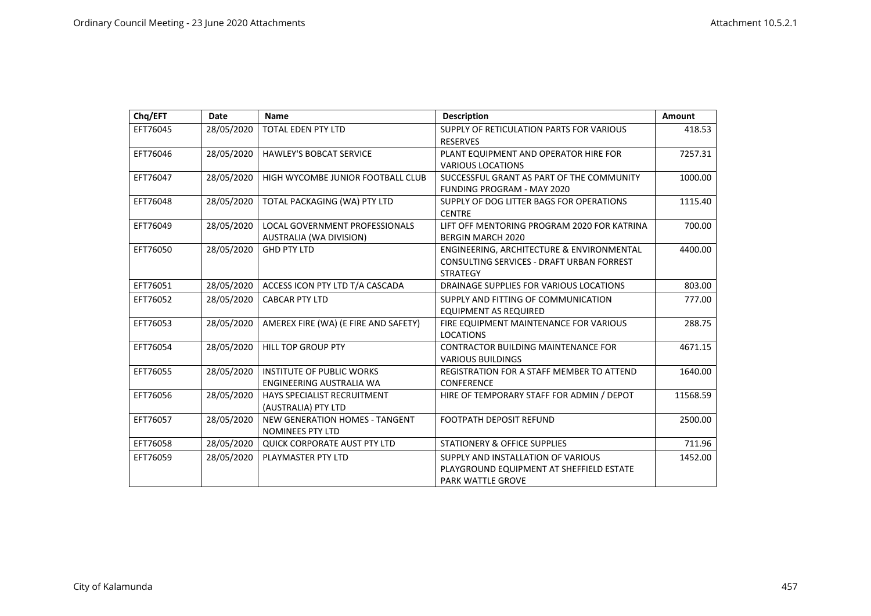| Chq/EFT  | <b>Date</b> | <b>Name</b>                           | <b>Description</b>                                          | <b>Amount</b> |
|----------|-------------|---------------------------------------|-------------------------------------------------------------|---------------|
| EFT76045 | 28/05/2020  | <b>TOTAL EDEN PTY LTD</b>             | SUPPLY OF RETICULATION PARTS FOR VARIOUS<br><b>RESERVES</b> | 418.53        |
| EFT76046 | 28/05/2020  | <b>HAWLEY'S BOBCAT SERVICE</b>        | PLANT EQUIPMENT AND OPERATOR HIRE FOR                       | 7257.31       |
|          |             |                                       | <b>VARIOUS LOCATIONS</b>                                    |               |
| EFT76047 | 28/05/2020  | HIGH WYCOMBE JUNIOR FOOTBALL CLUB     | SUCCESSFUL GRANT AS PART OF THE COMMUNITY                   | 1000.00       |
|          |             |                                       | <b>FUNDING PROGRAM - MAY 2020</b>                           |               |
| EFT76048 | 28/05/2020  | TOTAL PACKAGING (WA) PTY LTD          | SUPPLY OF DOG LITTER BAGS FOR OPERATIONS                    | 1115.40       |
|          |             |                                       | <b>CENTRE</b>                                               |               |
| EFT76049 | 28/05/2020  | LOCAL GOVERNMENT PROFESSIONALS        | LIFT OFF MENTORING PROGRAM 2020 FOR KATRINA                 | 700.00        |
|          |             | AUSTRALIA (WA DIVISION)               | <b>BERGIN MARCH 2020</b>                                    |               |
| EFT76050 | 28/05/2020  | <b>GHD PTY LTD</b>                    | ENGINEERING, ARCHITECTURE & ENVIRONMENTAL                   | 4400.00       |
|          |             |                                       | CONSULTING SERVICES - DRAFT URBAN FORREST                   |               |
|          |             |                                       | <b>STRATEGY</b>                                             |               |
| EFT76051 | 28/05/2020  | ACCESS ICON PTY LTD T/A CASCADA       | DRAINAGE SUPPLIES FOR VARIOUS LOCATIONS                     | 803.00        |
| EFT76052 | 28/05/2020  | <b>CABCAR PTY LTD</b>                 | SUPPLY AND FITTING OF COMMUNICATION                         | 777.00        |
|          |             |                                       | <b>EQUIPMENT AS REQUIRED</b>                                |               |
| EFT76053 | 28/05/2020  | AMEREX FIRE (WA) (E FIRE AND SAFETY)  | FIRE EQUIPMENT MAINTENANCE FOR VARIOUS                      | 288.75        |
|          |             |                                       | <b>LOCATIONS</b>                                            |               |
| EFT76054 | 28/05/2020  | <b>HILL TOP GROUP PTY</b>             | <b>CONTRACTOR BUILDING MAINTENANCE FOR</b>                  | 4671.15       |
|          |             |                                       | <b>VARIOUS BUILDINGS</b>                                    |               |
| EFT76055 | 28/05/2020  | <b>INSTITUTE OF PUBLIC WORKS</b>      | REGISTRATION FOR A STAFF MEMBER TO ATTEND                   | 1640.00       |
|          |             | ENGINEERING AUSTRALIA WA              | <b>CONFERENCE</b>                                           |               |
| EFT76056 | 28/05/2020  | <b>HAYS SPECIALIST RECRUITMENT</b>    | HIRE OF TEMPORARY STAFF FOR ADMIN / DEPOT                   | 11568.59      |
|          |             | (AUSTRALIA) PTY LTD                   |                                                             |               |
| EFT76057 | 28/05/2020  | <b>NEW GENERATION HOMES - TANGENT</b> | <b>FOOTPATH DEPOSIT REFUND</b>                              | 2500.00       |
|          |             | NOMINEES PTY LTD                      |                                                             |               |
| EFT76058 | 28/05/2020  | <b>QUICK CORPORATE AUST PTY LTD</b>   | STATIONERY & OFFICE SUPPLIES                                | 711.96        |
| EFT76059 | 28/05/2020  | PLAYMASTER PTY LTD                    | SUPPLY AND INSTALLATION OF VARIOUS                          | 1452.00       |
|          |             |                                       | PLAYGROUND EQUIPMENT AT SHEFFIELD ESTATE                    |               |
|          |             |                                       | <b>PARK WATTLE GROVE</b>                                    |               |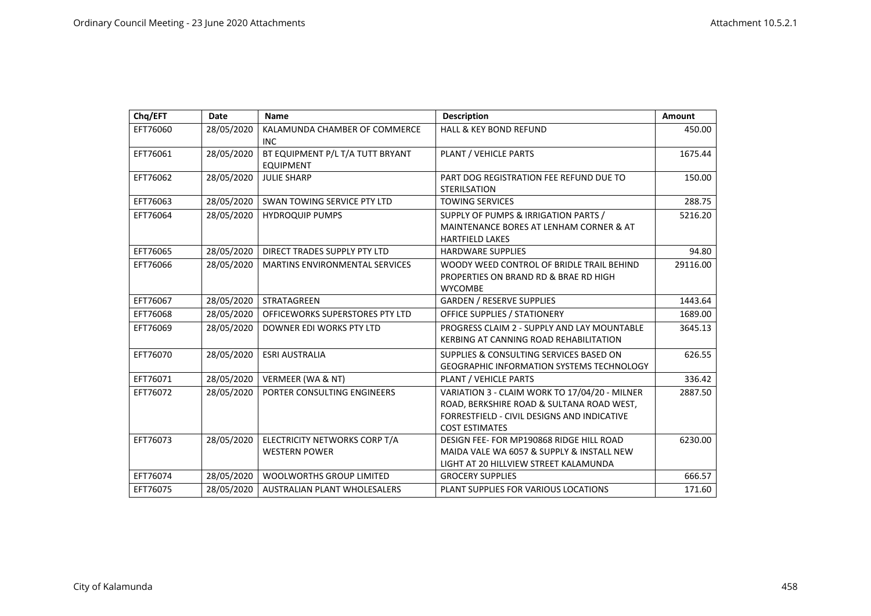| Chq/EFT  | Date       | <b>Name</b>                                           | <b>Description</b>                                                                                                                                                 | Amount   |
|----------|------------|-------------------------------------------------------|--------------------------------------------------------------------------------------------------------------------------------------------------------------------|----------|
| EFT76060 | 28/05/2020 | KALAMUNDA CHAMBER OF COMMERCE<br><b>INC</b>           | <b>HALL &amp; KEY BOND REFUND</b>                                                                                                                                  | 450.00   |
| EFT76061 | 28/05/2020 | BT EQUIPMENT P/L T/A TUTT BRYANT<br><b>EQUIPMENT</b>  | PLANT / VEHICLE PARTS                                                                                                                                              | 1675.44  |
| EFT76062 | 28/05/2020 | <b>JULIE SHARP</b>                                    | PART DOG REGISTRATION FEE REFUND DUE TO<br><b>STERILSATION</b>                                                                                                     | 150.00   |
| EFT76063 | 28/05/2020 | SWAN TOWING SERVICE PTY LTD                           | <b>TOWING SERVICES</b>                                                                                                                                             | 288.75   |
| EFT76064 | 28/05/2020 | <b>HYDROQUIP PUMPS</b>                                | SUPPLY OF PUMPS & IRRIGATION PARTS /<br>MAINTENANCE BORES AT LENHAM CORNER & AT<br><b>HARTFIELD LAKES</b>                                                          | 5216.20  |
| EFT76065 | 28/05/2020 | DIRECT TRADES SUPPLY PTY LTD                          | <b>HARDWARE SUPPLIES</b>                                                                                                                                           | 94.80    |
| EFT76066 | 28/05/2020 | <b>MARTINS ENVIRONMENTAL SERVICES</b>                 | WOODY WEED CONTROL OF BRIDLE TRAIL BEHIND<br>PROPERTIES ON BRAND RD & BRAE RD HIGH<br><b>WYCOMBE</b>                                                               | 29116.00 |
| EFT76067 | 28/05/2020 | <b>STRATAGREEN</b>                                    | <b>GARDEN / RESERVE SUPPLIES</b>                                                                                                                                   | 1443.64  |
| EFT76068 | 28/05/2020 | OFFICEWORKS SUPERSTORES PTY LTD                       | <b>OFFICE SUPPLIES / STATIONERY</b>                                                                                                                                | 1689.00  |
| EFT76069 | 28/05/2020 | DOWNER EDI WORKS PTY LTD                              | PROGRESS CLAIM 2 - SUPPLY AND LAY MOUNTABLE<br>KERBING AT CANNING ROAD REHABILITATION                                                                              | 3645.13  |
| EFT76070 | 28/05/2020 | <b>ESRI AUSTRALIA</b>                                 | SUPPLIES & CONSULTING SERVICES BASED ON<br><b>GEOGRAPHIC INFORMATION SYSTEMS TECHNOLOGY</b>                                                                        | 626.55   |
| EFT76071 | 28/05/2020 | VERMEER (WA & NT)                                     | PLANT / VEHICLE PARTS                                                                                                                                              | 336.42   |
| EFT76072 | 28/05/2020 | PORTER CONSULTING ENGINEERS                           | VARIATION 3 - CLAIM WORK TO 17/04/20 - MILNER<br>ROAD, BERKSHIRE ROAD & SULTANA ROAD WEST,<br>FORRESTFIELD - CIVIL DESIGNS AND INDICATIVE<br><b>COST ESTIMATES</b> | 2887.50  |
| EFT76073 | 28/05/2020 | ELECTRICITY NETWORKS CORP T/A<br><b>WESTERN POWER</b> | DESIGN FEE- FOR MP190868 RIDGE HILL ROAD<br>MAIDA VALE WA 6057 & SUPPLY & INSTALL NEW<br>LIGHT AT 20 HILLVIEW STREET KALAMUNDA                                     | 6230.00  |
| EFT76074 | 28/05/2020 | <b>WOOLWORTHS GROUP LIMITED</b>                       | <b>GROCERY SUPPLIES</b>                                                                                                                                            | 666.57   |
| EFT76075 | 28/05/2020 | <b>AUSTRALIAN PLANT WHOLESALERS</b>                   | PLANT SUPPLIES FOR VARIOUS LOCATIONS                                                                                                                               | 171.60   |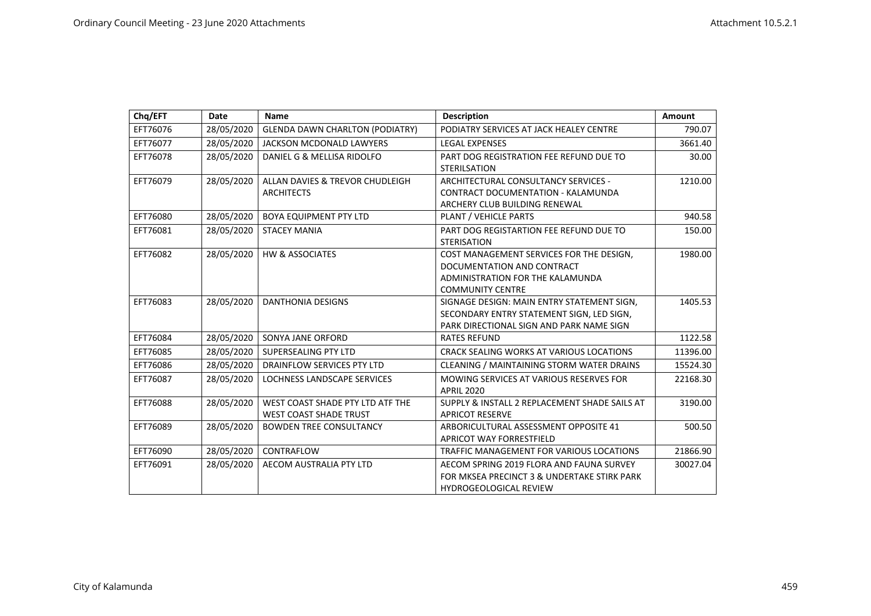| Chq/EFT  | Date       | <b>Name</b>                                                       | <b>Description</b>                                                                                                                    | Amount   |
|----------|------------|-------------------------------------------------------------------|---------------------------------------------------------------------------------------------------------------------------------------|----------|
| EFT76076 | 28/05/2020 | <b>GLENDA DAWN CHARLTON (PODIATRY)</b>                            | PODIATRY SERVICES AT JACK HEALEY CENTRE                                                                                               | 790.07   |
| EFT76077 | 28/05/2020 | JACKSON MCDONALD LAWYERS                                          | <b>LEGAL EXPENSES</b>                                                                                                                 | 3661.40  |
| EFT76078 | 28/05/2020 | DANIEL G & MELLISA RIDOLFO                                        | PART DOG REGISTRATION FEE REFUND DUE TO<br><b>STERILSATION</b>                                                                        | 30.00    |
| EFT76079 | 28/05/2020 | ALLAN DAVIES & TREVOR CHUDLEIGH<br><b>ARCHITECTS</b>              | ARCHITECTURAL CONSULTANCY SERVICES -<br>CONTRACT DOCUMENTATION - KALAMUNDA<br>ARCHERY CLUB BUILDING RENEWAL                           | 1210.00  |
| EFT76080 | 28/05/2020 | <b>BOYA EQUIPMENT PTY LTD</b>                                     | PLANT / VEHICLE PARTS                                                                                                                 | 940.58   |
| EFT76081 | 28/05/2020 | <b>STACEY MANIA</b>                                               | PART DOG REGISTARTION FEE REFUND DUE TO<br><b>STERISATION</b>                                                                         | 150.00   |
| EFT76082 | 28/05/2020 | <b>HW &amp; ASSOCIATES</b>                                        | COST MANAGEMENT SERVICES FOR THE DESIGN,<br>DOCUMENTATION AND CONTRACT<br>ADMINISTRATION FOR THE KALAMUNDA<br><b>COMMUNITY CENTRE</b> | 1980.00  |
| EFT76083 | 28/05/2020 | <b>DANTHONIA DESIGNS</b>                                          | SIGNAGE DESIGN: MAIN ENTRY STATEMENT SIGN,<br>SECONDARY ENTRY STATEMENT SIGN, LED SIGN,<br>PARK DIRECTIONAL SIGN AND PARK NAME SIGN   | 1405.53  |
| EFT76084 | 28/05/2020 | SONYA JANE ORFORD                                                 | <b>RATES REFUND</b>                                                                                                                   | 1122.58  |
| EFT76085 | 28/05/2020 | SUPERSEALING PTY LTD                                              | CRACK SEALING WORKS AT VARIOUS LOCATIONS                                                                                              | 11396.00 |
| EFT76086 | 28/05/2020 | DRAINFLOW SERVICES PTY LTD                                        | CLEANING / MAINTAINING STORM WATER DRAINS                                                                                             | 15524.30 |
| EFT76087 | 28/05/2020 | <b>LOCHNESS LANDSCAPE SERVICES</b>                                | MOWING SERVICES AT VARIOUS RESERVES FOR<br><b>APRIL 2020</b>                                                                          | 22168.30 |
| EFT76088 | 28/05/2020 | WEST COAST SHADE PTY LTD ATF THE<br><b>WEST COAST SHADE TRUST</b> | SUPPLY & INSTALL 2 REPLACEMENT SHADE SAILS AT<br><b>APRICOT RESERVE</b>                                                               | 3190.00  |
| EFT76089 | 28/05/2020 | <b>BOWDEN TREE CONSULTANCY</b>                                    | ARBORICULTURAL ASSESSMENT OPPOSITE 41<br><b>APRICOT WAY FORRESTFIELD</b>                                                              | 500.50   |
| EFT76090 | 28/05/2020 | CONTRAFLOW                                                        | TRAFFIC MANAGEMENT FOR VARIOUS LOCATIONS                                                                                              | 21866.90 |
| EFT76091 | 28/05/2020 | AECOM AUSTRALIA PTY LTD                                           | AECOM SPRING 2019 FLORA AND FAUNA SURVEY<br>FOR MKSEA PRECINCT 3 & UNDERTAKE STIRK PARK<br><b>HYDROGEOLOGICAL REVIEW</b>              | 30027.04 |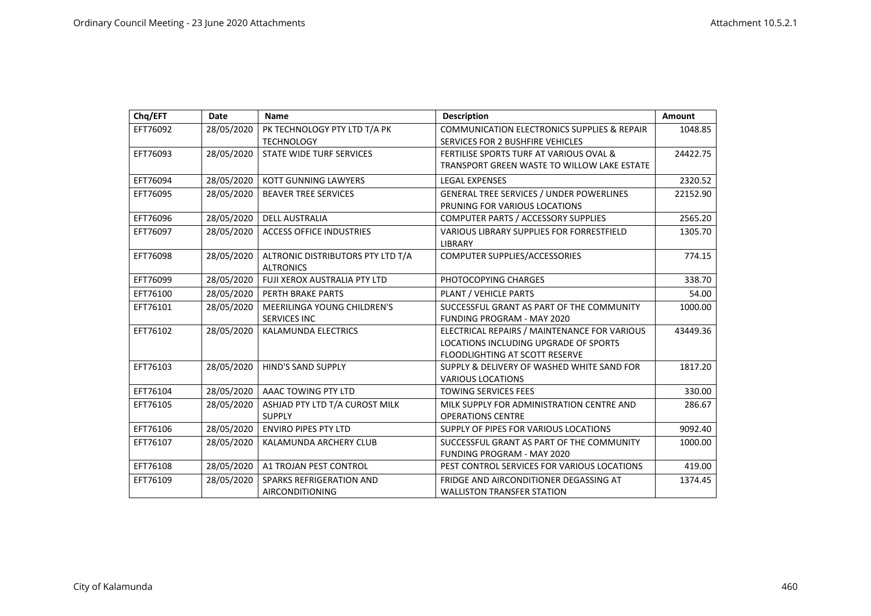| Chq/EFT  | Date       | <b>Name</b>                        | <b>Description</b>                                     | <b>Amount</b> |
|----------|------------|------------------------------------|--------------------------------------------------------|---------------|
| EFT76092 | 28/05/2020 | PK TECHNOLOGY PTY LTD T/A PK       | <b>COMMUNICATION ELECTRONICS SUPPLIES &amp; REPAIR</b> | 1048.85       |
|          |            | <b>TECHNOLOGY</b>                  | SERVICES FOR 2 BUSHFIRE VEHICLES                       |               |
| EFT76093 | 28/05/2020 | <b>STATE WIDE TURF SERVICES</b>    | <b>FERTILISE SPORTS TURF AT VARIOUS OVAL &amp;</b>     | 24422.75      |
|          |            |                                    | TRANSPORT GREEN WASTE TO WILLOW LAKE ESTATE            |               |
| EFT76094 | 28/05/2020 | <b>KOTT GUNNING LAWYERS</b>        | <b>LEGAL EXPENSES</b>                                  | 2320.52       |
| EFT76095 | 28/05/2020 | <b>BEAVER TREE SERVICES</b>        | <b>GENERAL TREE SERVICES / UNDER POWERLINES</b>        | 22152.90      |
|          |            |                                    | PRUNING FOR VARIOUS LOCATIONS                          |               |
| EFT76096 | 28/05/2020 | <b>DELL AUSTRALIA</b>              | COMPUTER PARTS / ACCESSORY SUPPLIES                    | 2565.20       |
| EFT76097 | 28/05/2020 | <b>ACCESS OFFICE INDUSTRIES</b>    | VARIOUS LIBRARY SUPPLIES FOR FORRESTFIELD              | 1305.70       |
|          |            |                                    | <b>LIBRARY</b>                                         |               |
| EFT76098 | 28/05/2020 | ALTRONIC DISTRIBUTORS PTY LTD T/A  | COMPUTER SUPPLIES/ACCESSORIES                          | 774.15        |
|          |            | <b>ALTRONICS</b>                   |                                                        |               |
| EFT76099 | 28/05/2020 | FUJI XEROX AUSTRALIA PTY LTD       | PHOTOCOPYING CHARGES                                   | 338.70        |
| EFT76100 | 28/05/2020 | PERTH BRAKE PARTS                  | PLANT / VEHICLE PARTS                                  | 54.00         |
| EFT76101 | 28/05/2020 | <b>MEERILINGA YOUNG CHILDREN'S</b> | SUCCESSFUL GRANT AS PART OF THE COMMUNITY              | 1000.00       |
|          |            | <b>SERVICES INC</b>                | <b>FUNDING PROGRAM - MAY 2020</b>                      |               |
| EFT76102 | 28/05/2020 | KALAMUNDA ELECTRICS                | ELECTRICAL REPAIRS / MAINTENANCE FOR VARIOUS           | 43449.36      |
|          |            |                                    | LOCATIONS INCLUDING UPGRADE OF SPORTS                  |               |
|          |            |                                    | FLOODLIGHTING AT SCOTT RESERVE                         |               |
| EFT76103 | 28/05/2020 | <b>HIND'S SAND SUPPLY</b>          | SUPPLY & DELIVERY OF WASHED WHITE SAND FOR             | 1817.20       |
|          |            |                                    | <b>VARIOUS LOCATIONS</b>                               |               |
| EFT76104 | 28/05/2020 | AAAC TOWING PTY LTD                | <b>TOWING SERVICES FEES</b>                            | 330.00        |
| EFT76105 | 28/05/2020 | ASHJAD PTY LTD T/A CUROST MILK     | MILK SUPPLY FOR ADMINISTRATION CENTRE AND              | 286.67        |
|          |            | <b>SUPPLY</b>                      | <b>OPERATIONS CENTRE</b>                               |               |
| EFT76106 | 28/05/2020 | <b>ENVIRO PIPES PTY LTD</b>        | SUPPLY OF PIPES FOR VARIOUS LOCATIONS                  | 9092.40       |
| EFT76107 | 28/05/2020 | KALAMUNDA ARCHERY CLUB             | SUCCESSFUL GRANT AS PART OF THE COMMUNITY              | 1000.00       |
|          |            |                                    | FUNDING PROGRAM - MAY 2020                             |               |
| EFT76108 | 28/05/2020 | A1 TROJAN PEST CONTROL             | PEST CONTROL SERVICES FOR VARIOUS LOCATIONS            | 419.00        |
| EFT76109 | 28/05/2020 | SPARKS REFRIGERATION AND           | FRIDGE AND AIRCONDITIONER DEGASSING AT                 | 1374.45       |
|          |            | <b>AIRCONDITIONING</b>             | <b>WALLISTON TRANSFER STATION</b>                      |               |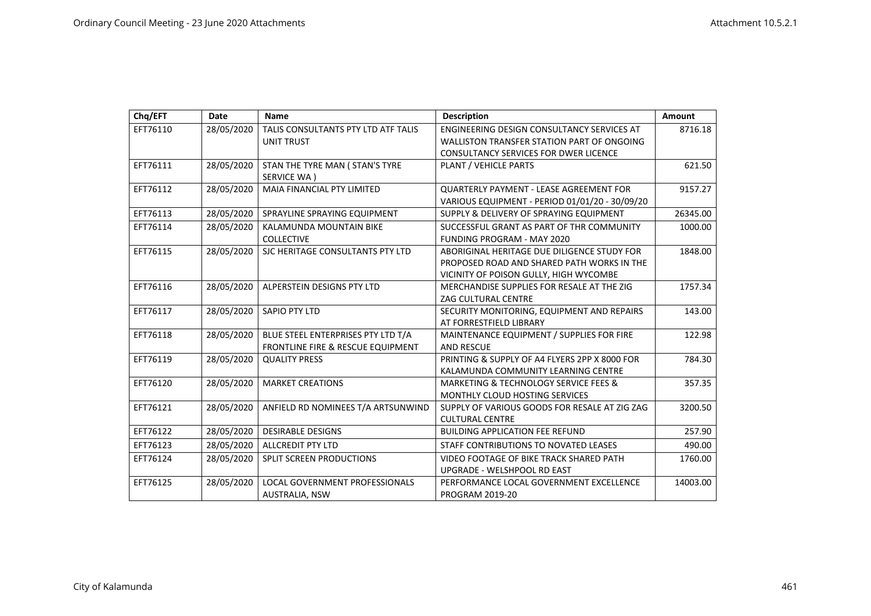| Chq/EFT  | <b>Date</b> | <b>Name</b>                                  | <b>Description</b>                             | Amount   |
|----------|-------------|----------------------------------------------|------------------------------------------------|----------|
| EFT76110 | 28/05/2020  | TALIS CONSULTANTS PTY LTD ATF TALIS          | ENGINEERING DESIGN CONSULTANCY SERVICES AT     | 8716.18  |
|          |             | <b>UNIT TRUST</b>                            | WALLISTON TRANSFER STATION PART OF ONGOING     |          |
|          |             |                                              | <b>CONSULTANCY SERVICES FOR DWER LICENCE</b>   |          |
| EFT76111 | 28/05/2020  | STAN THE TYRE MAN ( STAN'S TYRE              | PLANT / VEHICLE PARTS                          | 621.50   |
|          |             | SERVICE WA)                                  |                                                |          |
| EFT76112 | 28/05/2020  | MAIA FINANCIAL PTY LIMITED                   | QUARTERLY PAYMENT - LEASE AGREEMENT FOR        | 9157.27  |
|          |             |                                              | VARIOUS EQUIPMENT - PERIOD 01/01/20 - 30/09/20 |          |
| EFT76113 | 28/05/2020  | SPRAYLINE SPRAYING EQUIPMENT                 | SUPPLY & DELIVERY OF SPRAYING EQUIPMENT        | 26345.00 |
| EFT76114 | 28/05/2020  | KALAMUNDA MOUNTAIN BIKE                      | SUCCESSFUL GRANT AS PART OF THR COMMUNITY      | 1000.00  |
|          |             | <b>COLLECTIVE</b>                            | <b>FUNDING PROGRAM - MAY 2020</b>              |          |
| EFT76115 | 28/05/2020  | SJC HERITAGE CONSULTANTS PTY LTD             | ABORIGINAL HERITAGE DUE DILIGENCE STUDY FOR    | 1848.00  |
|          |             |                                              | PROPOSED ROAD AND SHARED PATH WORKS IN THE     |          |
|          |             |                                              | VICINITY OF POISON GULLY, HIGH WYCOMBE         |          |
| EFT76116 | 28/05/2020  | ALPERSTEIN DESIGNS PTY LTD                   | MERCHANDISE SUPPLIES FOR RESALE AT THE ZIG     | 1757.34  |
|          |             |                                              | <b>ZAG CULTURAL CENTRE</b>                     |          |
| EFT76117 | 28/05/2020  | <b>SAPIO PTY LTD</b>                         | SECURITY MONITORING, EQUIPMENT AND REPAIRS     | 143.00   |
|          |             |                                              | AT FORRESTFIELD LIBRARY                        |          |
| EFT76118 | 28/05/2020  | BLUE STEEL ENTERPRISES PTY LTD T/A           | MAINTENANCE EQUIPMENT / SUPPLIES FOR FIRE      | 122.98   |
|          |             | <b>FRONTLINE FIRE &amp; RESCUE EQUIPMENT</b> | <b>AND RESCUE</b>                              |          |
| EFT76119 | 28/05/2020  | <b>QUALITY PRESS</b>                         | PRINTING & SUPPLY OF A4 FLYERS 2PP X 8000 FOR  | 784.30   |
|          |             |                                              | KALAMUNDA COMMUNITY LEARNING CENTRE            |          |
| EFT76120 | 28/05/2020  | <b>MARKET CREATIONS</b>                      | MARKETING & TECHNOLOGY SERVICE FEES &          | 357.35   |
|          |             |                                              | MONTHLY CLOUD HOSTING SERVICES                 |          |
| EFT76121 | 28/05/2020  | ANFIELD RD NOMINEES T/A ARTSUNWIND           | SUPPLY OF VARIOUS GOODS FOR RESALE AT ZIG ZAG  | 3200.50  |
|          |             |                                              | <b>CULTURAL CENTRE</b>                         |          |
| EFT76122 | 28/05/2020  | <b>DESIRABLE DESIGNS</b>                     | <b>BUILDING APPLICATION FEE REFUND</b>         | 257.90   |
| EFT76123 | 28/05/2020  | <b>ALLCREDIT PTY LTD</b>                     | STAFF CONTRIBUTIONS TO NOVATED LEASES          | 490.00   |
| EFT76124 | 28/05/2020  | SPLIT SCREEN PRODUCTIONS                     | VIDEO FOOTAGE OF BIKE TRACK SHARED PATH        | 1760.00  |
|          |             |                                              | UPGRADE - WELSHPOOL RD EAST                    |          |
| EFT76125 | 28/05/2020  | <b>LOCAL GOVERNMENT PROFESSIONALS</b>        | PERFORMANCE LOCAL GOVERNMENT EXCELLENCE        | 14003.00 |
|          |             | AUSTRALIA, NSW                               | <b>PROGRAM 2019-20</b>                         |          |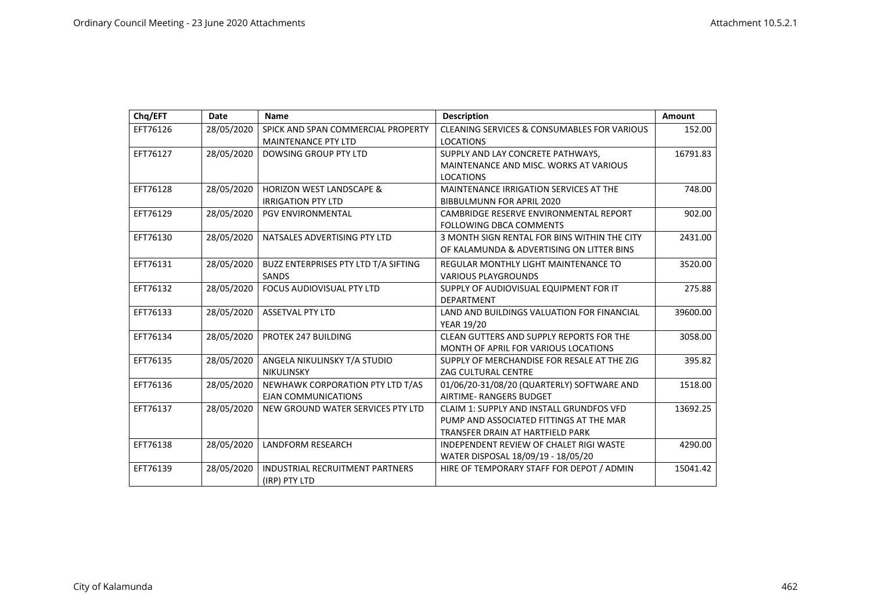| Chq/EFT  | <b>Date</b> | <b>Name</b>                            | <b>Description</b>                                     | Amount   |
|----------|-------------|----------------------------------------|--------------------------------------------------------|----------|
| EFT76126 | 28/05/2020  | SPICK AND SPAN COMMERCIAL PROPERTY     | <b>CLEANING SERVICES &amp; CONSUMABLES FOR VARIOUS</b> | 152.00   |
|          |             | <b>MAINTENANCE PTY LTD</b>             | <b>LOCATIONS</b>                                       |          |
| EFT76127 | 28/05/2020  | <b>DOWSING GROUP PTY LTD</b>           | SUPPLY AND LAY CONCRETE PATHWAYS,                      | 16791.83 |
|          |             |                                        | MAINTENANCE AND MISC. WORKS AT VARIOUS                 |          |
|          |             |                                        | <b>LOCATIONS</b>                                       |          |
| EFT76128 | 28/05/2020  | <b>HORIZON WEST LANDSCAPE &amp;</b>    | MAINTENANCE IRRIGATION SERVICES AT THE                 | 748.00   |
|          |             | <b>IRRIGATION PTY LTD</b>              | <b>BIBBULMUNN FOR APRIL 2020</b>                       |          |
| EFT76129 | 28/05/2020  | <b>PGV ENVIRONMENTAL</b>               | CAMBRIDGE RESERVE ENVIRONMENTAL REPORT                 | 902.00   |
|          |             |                                        | <b>FOLLOWING DBCA COMMENTS</b>                         |          |
| EFT76130 | 28/05/2020  | NATSALES ADVERTISING PTY LTD           | 3 MONTH SIGN RENTAL FOR BINS WITHIN THE CITY           | 2431.00  |
|          |             |                                        | OF KALAMUNDA & ADVERTISING ON LITTER BINS              |          |
| EFT76131 | 28/05/2020  | BUZZ ENTERPRISES PTY LTD T/A SIFTING   | REGULAR MONTHLY LIGHT MAINTENANCE TO                   | 3520.00  |
|          |             | SANDS                                  | <b>VARIOUS PLAYGROUNDS</b>                             |          |
| EFT76132 | 28/05/2020  | FOCUS AUDIOVISUAL PTY LTD              | SUPPLY OF AUDIOVISUAL EQUIPMENT FOR IT                 | 275.88   |
|          |             |                                        | <b>DEPARTMENT</b>                                      |          |
| EFT76133 | 28/05/2020  | <b>ASSETVAL PTY LTD</b>                | LAND AND BUILDINGS VALUATION FOR FINANCIAL             | 39600.00 |
|          |             |                                        | <b>YEAR 19/20</b>                                      |          |
| EFT76134 | 28/05/2020  | PROTEK 247 BUILDING                    | CLEAN GUTTERS AND SUPPLY REPORTS FOR THE               | 3058.00  |
|          |             |                                        | MONTH OF APRIL FOR VARIOUS LOCATIONS                   |          |
| EFT76135 | 28/05/2020  | ANGELA NIKULINSKY T/A STUDIO           | SUPPLY OF MERCHANDISE FOR RESALE AT THE ZIG            | 395.82   |
|          |             | NIKULINSKY                             | <b>ZAG CULTURAL CENTRE</b>                             |          |
| EFT76136 | 28/05/2020  | NEWHAWK CORPORATION PTY LTD T/AS       | 01/06/20-31/08/20 (QUARTERLY) SOFTWARE AND             | 1518.00  |
|          |             | <b>EJAN COMMUNICATIONS</b>             | AIRTIME- RANGERS BUDGET                                |          |
| EFT76137 | 28/05/2020  | NEW GROUND WATER SERVICES PTY LTD      | <b>CLAIM 1: SUPPLY AND INSTALL GRUNDFOS VFD</b>        | 13692.25 |
|          |             |                                        | PUMP AND ASSOCIATED FITTINGS AT THE MAR                |          |
|          |             |                                        | TRANSFER DRAIN AT HARTFIELD PARK                       |          |
| EFT76138 | 28/05/2020  | <b>LANDFORM RESEARCH</b>               | <b>INDEPENDENT REVIEW OF CHALET RIGI WASTE</b>         | 4290.00  |
|          |             |                                        | WATER DISPOSAL 18/09/19 - 18/05/20                     |          |
| EFT76139 | 28/05/2020  | <b>INDUSTRIAL RECRUITMENT PARTNERS</b> | HIRE OF TEMPORARY STAFF FOR DEPOT / ADMIN              | 15041.42 |
|          |             | (IRP) PTY LTD                          |                                                        |          |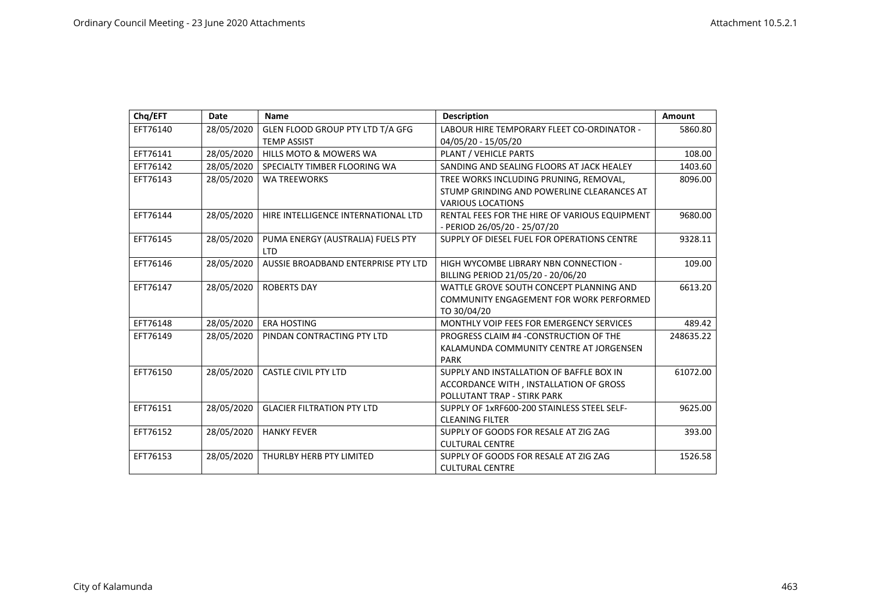| Chq/EFT  | <b>Date</b> | Name                                | <b>Description</b>                            | <b>Amount</b> |
|----------|-------------|-------------------------------------|-----------------------------------------------|---------------|
| EFT76140 | 28/05/2020  | GLEN FLOOD GROUP PTY LTD T/A GFG    | LABOUR HIRE TEMPORARY FLEET CO-ORDINATOR -    | 5860.80       |
|          |             | <b>TEMP ASSIST</b>                  | 04/05/20 - 15/05/20                           |               |
| EFT76141 | 28/05/2020  | <b>HILLS MOTO &amp; MOWERS WA</b>   | PLANT / VEHICLE PARTS                         | 108.00        |
| EFT76142 | 28/05/2020  | SPECIALTY TIMBER FLOORING WA        | SANDING AND SEALING FLOORS AT JACK HEALEY     | 1403.60       |
| EFT76143 | 28/05/2020  | <b>WA TREEWORKS</b>                 | TREE WORKS INCLUDING PRUNING, REMOVAL,        | 8096.00       |
|          |             |                                     | STUMP GRINDING AND POWERLINE CLEARANCES AT    |               |
|          |             |                                     | <b>VARIOUS LOCATIONS</b>                      |               |
| EFT76144 | 28/05/2020  | HIRE INTELLIGENCE INTERNATIONAL LTD | RENTAL FEES FOR THE HIRE OF VARIOUS EQUIPMENT | 9680.00       |
|          |             |                                     | - PERIOD 26/05/20 - 25/07/20                  |               |
| EFT76145 | 28/05/2020  | PUMA ENERGY (AUSTRALIA) FUELS PTY   | SUPPLY OF DIESEL FUEL FOR OPERATIONS CENTRE   | 9328.11       |
|          |             | <b>LTD</b>                          |                                               |               |
| EFT76146 | 28/05/2020  | AUSSIE BROADBAND ENTERPRISE PTY LTD | HIGH WYCOMBE LIBRARY NBN CONNECTION -         | 109.00        |
|          |             |                                     | BILLING PERIOD 21/05/20 - 20/06/20            |               |
| EFT76147 | 28/05/2020  | <b>ROBERTS DAY</b>                  | WATTLE GROVE SOUTH CONCEPT PLANNING AND       | 6613.20       |
|          |             |                                     | COMMUNITY ENGAGEMENT FOR WORK PERFORMED       |               |
|          |             |                                     | TO 30/04/20                                   |               |
| EFT76148 | 28/05/2020  | <b>ERA HOSTING</b>                  | MONTHLY VOIP FEES FOR EMERGENCY SERVICES      | 489.42        |
| EFT76149 | 28/05/2020  | PINDAN CONTRACTING PTY LTD          | PROGRESS CLAIM #4 - CONSTRUCTION OF THE       | 248635.22     |
|          |             |                                     | KALAMUNDA COMMUNITY CENTRE AT JORGENSEN       |               |
|          |             |                                     | <b>PARK</b>                                   |               |
| EFT76150 | 28/05/2020  | <b>CASTLE CIVIL PTY LTD</b>         | SUPPLY AND INSTALLATION OF BAFFLE BOX IN      | 61072.00      |
|          |             |                                     | ACCORDANCE WITH, INSTALLATION OF GROSS        |               |
|          |             |                                     | POLLUTANT TRAP - STIRK PARK                   |               |
| EFT76151 | 28/05/2020  | <b>GLACIER FILTRATION PTY LTD</b>   | SUPPLY OF 1xRF600-200 STAINLESS STEEL SELF-   | 9625.00       |
|          |             |                                     | <b>CLEANING FILTER</b>                        |               |
| EFT76152 | 28/05/2020  | <b>HANKY FEVER</b>                  | SUPPLY OF GOODS FOR RESALE AT ZIG ZAG         | 393.00        |
|          |             |                                     | <b>CULTURAL CENTRE</b>                        |               |
| EFT76153 | 28/05/2020  | THURLBY HERB PTY LIMITED            | SUPPLY OF GOODS FOR RESALE AT ZIG ZAG         | 1526.58       |
|          |             |                                     | <b>CULTURAL CENTRE</b>                        |               |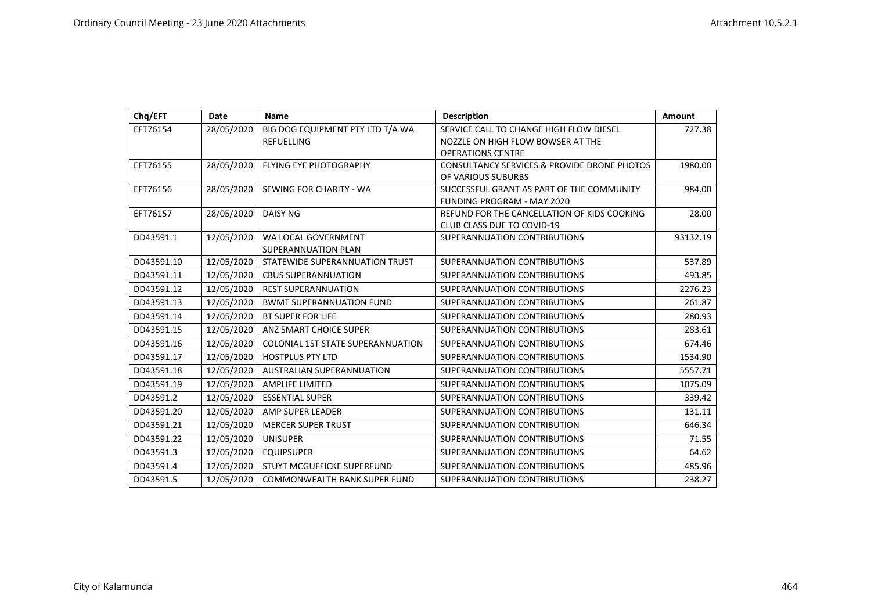| Chq/EFT    | <b>Date</b> | <b>Name</b>                              | <b>Description</b>                                     | Amount   |
|------------|-------------|------------------------------------------|--------------------------------------------------------|----------|
| EFT76154   | 28/05/2020  | BIG DOG EQUIPMENT PTY LTD T/A WA         | SERVICE CALL TO CHANGE HIGH FLOW DIESEL                | 727.38   |
|            |             | <b>REFUELLING</b>                        | NOZZLE ON HIGH FLOW BOWSER AT THE                      |          |
|            |             |                                          | <b>OPERATIONS CENTRE</b>                               |          |
| EFT76155   | 28/05/2020  | FLYING EYE PHOTOGRAPHY                   | <b>CONSULTANCY SERVICES &amp; PROVIDE DRONE PHOTOS</b> | 1980.00  |
|            |             |                                          | OF VARIOUS SUBURBS                                     |          |
| EFT76156   | 28/05/2020  | SEWING FOR CHARITY - WA                  | SUCCESSFUL GRANT AS PART OF THE COMMUNITY              | 984.00   |
|            |             |                                          | FUNDING PROGRAM - MAY 2020                             |          |
| EFT76157   | 28/05/2020  | <b>DAISY NG</b>                          | REFUND FOR THE CANCELLATION OF KIDS COOKING            | 28.00    |
|            |             |                                          | <b>CLUB CLASS DUE TO COVID-19</b>                      |          |
| DD43591.1  | 12/05/2020  | WA LOCAL GOVERNMENT                      | SUPERANNUATION CONTRIBUTIONS                           | 93132.19 |
|            |             | <b>SUPERANNUATION PLAN</b>               |                                                        |          |
| DD43591.10 | 12/05/2020  | STATEWIDE SUPERANNUATION TRUST           | SUPERANNUATION CONTRIBUTIONS                           | 537.89   |
| DD43591.11 | 12/05/2020  | <b>CBUS SUPERANNUATION</b>               | SUPERANNUATION CONTRIBUTIONS                           | 493.85   |
| DD43591.12 | 12/05/2020  | <b>REST SUPERANNUATION</b>               | SUPERANNUATION CONTRIBUTIONS                           | 2276.23  |
| DD43591.13 | 12/05/2020  | <b>BWMT SUPERANNUATION FUND</b>          | SUPERANNUATION CONTRIBUTIONS                           | 261.87   |
| DD43591.14 | 12/05/2020  | <b>BT SUPER FOR LIFE</b>                 | SUPERANNUATION CONTRIBUTIONS                           | 280.93   |
| DD43591.15 | 12/05/2020  | ANZ SMART CHOICE SUPER                   | SUPERANNUATION CONTRIBUTIONS                           | 283.61   |
| DD43591.16 | 12/05/2020  | <b>COLONIAL 1ST STATE SUPERANNUATION</b> | SUPERANNUATION CONTRIBUTIONS                           | 674.46   |
| DD43591.17 | 12/05/2020  | <b>HOSTPLUS PTY LTD</b>                  | SUPERANNUATION CONTRIBUTIONS                           | 1534.90  |
| DD43591.18 | 12/05/2020  | <b>AUSTRALIAN SUPERANNUATION</b>         | SUPERANNUATION CONTRIBUTIONS                           | 5557.71  |
| DD43591.19 | 12/05/2020  | <b>AMPLIFE LIMITED</b>                   | SUPERANNUATION CONTRIBUTIONS                           | 1075.09  |
| DD43591.2  | 12/05/2020  | <b>ESSENTIAL SUPER</b>                   | SUPERANNUATION CONTRIBUTIONS                           | 339.42   |
| DD43591.20 | 12/05/2020  | AMP SUPER LEADER                         | SUPERANNUATION CONTRIBUTIONS                           | 131.11   |
| DD43591.21 | 12/05/2020  | <b>MERCER SUPER TRUST</b>                | SUPERANNUATION CONTRIBUTION                            | 646.34   |
| DD43591.22 | 12/05/2020  | <b>UNISUPER</b>                          | SUPERANNUATION CONTRIBUTIONS                           | 71.55    |
| DD43591.3  | 12/05/2020  | <b>EQUIPSUPER</b>                        | SUPERANNUATION CONTRIBUTIONS                           | 64.62    |
| DD43591.4  | 12/05/2020  | STUYT MCGUFFICKE SUPERFUND               | SUPERANNUATION CONTRIBUTIONS                           | 485.96   |
| DD43591.5  | 12/05/2020  | <b>COMMONWEALTH BANK SUPER FUND</b>      | SUPERANNUATION CONTRIBUTIONS                           | 238.27   |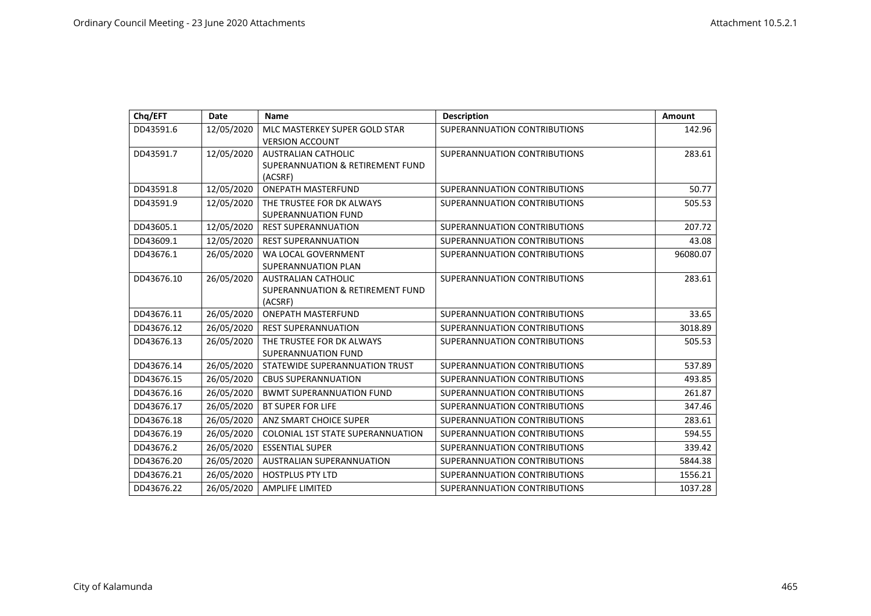| Chq/EFT    | <b>Date</b> | <b>Name</b>                                          | <b>Description</b>           | Amount   |
|------------|-------------|------------------------------------------------------|------------------------------|----------|
| DD43591.6  | 12/05/2020  | MLC MASTERKEY SUPER GOLD STAR                        | SUPERANNUATION CONTRIBUTIONS | 142.96   |
| DD43591.7  | 12/05/2020  | <b>VERSION ACCOUNT</b><br><b>AUSTRALIAN CATHOLIC</b> | SUPERANNUATION CONTRIBUTIONS | 283.61   |
|            |             | SUPERANNUATION & RETIREMENT FUND                     |                              |          |
|            |             | (ACSRF)                                              |                              |          |
| DD43591.8  | 12/05/2020  | <b>ONEPATH MASTERFUND</b>                            | SUPERANNUATION CONTRIBUTIONS | 50.77    |
| DD43591.9  | 12/05/2020  | THE TRUSTEE FOR DK ALWAYS                            | SUPERANNUATION CONTRIBUTIONS | 505.53   |
|            |             | <b>SUPERANNUATION FUND</b>                           |                              |          |
| DD43605.1  | 12/05/2020  | <b>REST SUPERANNUATION</b>                           | SUPERANNUATION CONTRIBUTIONS | 207.72   |
| DD43609.1  | 12/05/2020  | <b>REST SUPERANNUATION</b>                           | SUPERANNUATION CONTRIBUTIONS | 43.08    |
| DD43676.1  | 26/05/2020  | WA LOCAL GOVERNMENT                                  | SUPERANNUATION CONTRIBUTIONS | 96080.07 |
|            |             | <b>SUPERANNUATION PLAN</b>                           |                              |          |
| DD43676.10 | 26/05/2020  | <b>AUSTRALIAN CATHOLIC</b>                           | SUPERANNUATION CONTRIBUTIONS | 283.61   |
|            |             | SUPERANNUATION & RETIREMENT FUND                     |                              |          |
|            |             | (ACSRF)                                              |                              |          |
| DD43676.11 | 26/05/2020  | <b>ONEPATH MASTERFUND</b>                            | SUPERANNUATION CONTRIBUTIONS | 33.65    |
| DD43676.12 | 26/05/2020  | <b>REST SUPERANNUATION</b>                           | SUPERANNUATION CONTRIBUTIONS | 3018.89  |
| DD43676.13 | 26/05/2020  | THE TRUSTEE FOR DK ALWAYS                            | SUPERANNUATION CONTRIBUTIONS | 505.53   |
|            |             | <b>SUPERANNUATION FUND</b>                           |                              |          |
| DD43676.14 | 26/05/2020  | STATEWIDE SUPERANNUATION TRUST                       | SUPERANNUATION CONTRIBUTIONS | 537.89   |
| DD43676.15 | 26/05/2020  | <b>CBUS SUPERANNUATION</b>                           | SUPERANNUATION CONTRIBUTIONS | 493.85   |
| DD43676.16 | 26/05/2020  | <b>BWMT SUPERANNUATION FUND</b>                      | SUPERANNUATION CONTRIBUTIONS | 261.87   |
| DD43676.17 | 26/05/2020  | <b>BT SUPER FOR LIFE</b>                             | SUPERANNUATION CONTRIBUTIONS | 347.46   |
| DD43676.18 | 26/05/2020  | ANZ SMART CHOICE SUPER                               | SUPERANNUATION CONTRIBUTIONS | 283.61   |
| DD43676.19 | 26/05/2020  | <b>COLONIAL 1ST STATE SUPERANNUATION</b>             | SUPERANNUATION CONTRIBUTIONS | 594.55   |
| DD43676.2  | 26/05/2020  | <b>ESSENTIAL SUPER</b>                               | SUPERANNUATION CONTRIBUTIONS | 339.42   |
| DD43676.20 | 26/05/2020  | <b>AUSTRALIAN SUPERANNUATION</b>                     | SUPERANNUATION CONTRIBUTIONS | 5844.38  |
| DD43676.21 | 26/05/2020  | <b>HOSTPLUS PTY LTD</b>                              | SUPERANNUATION CONTRIBUTIONS | 1556.21  |
| DD43676.22 | 26/05/2020  | <b>AMPLIFE LIMITED</b>                               | SUPERANNUATION CONTRIBUTIONS | 1037.28  |